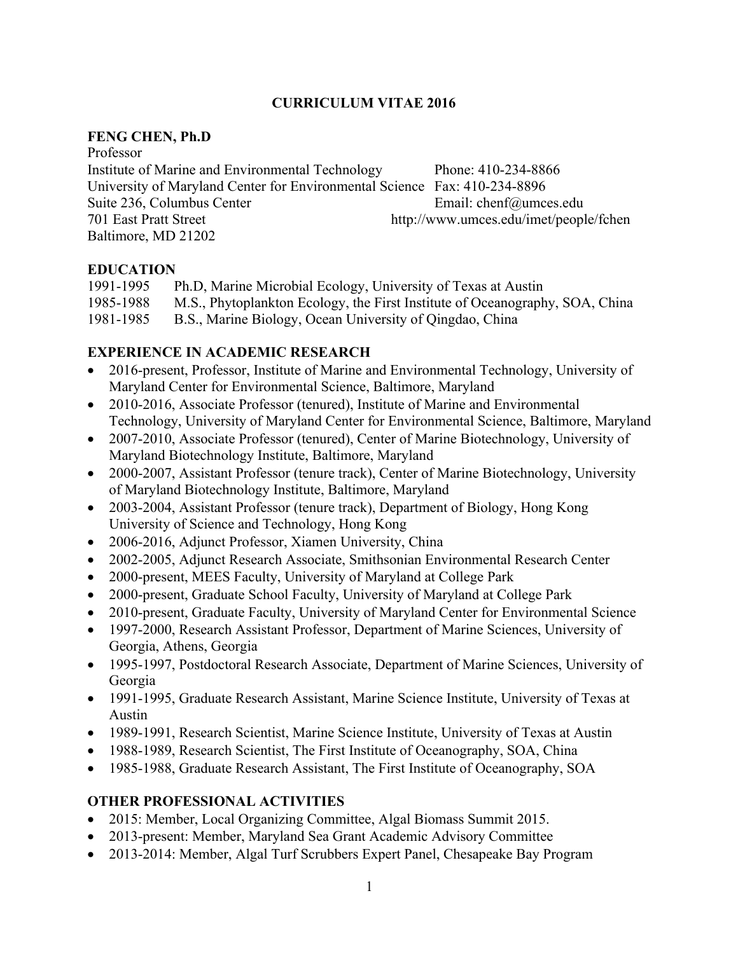#### **CURRICULUM VITAE 2016**

#### **FENG CHEN, Ph.D**

Professor Institute of Marine and Environmental Technology Phone: 410-234-8866 University of Maryland Center for Environmental Science Fax: 410-234-8896 Suite 236, Columbus Center **Email: chenf@umces.edu** 701 East Pratt Street http://www.umces.edu/imet/people/fchen Baltimore, MD 21202

#### **EDUCATION**

1991-1995 Ph.D, Marine Microbial Ecology, University of Texas at Austin 1985-1988 M.S., Phytoplankton Ecology, the First Institute of Oceanography, SOA, China 1981-1985 B.S., Marine Biology, Ocean University of Qingdao, China

### **EXPERIENCE IN ACADEMIC RESEARCH**

- 2016-present, Professor, Institute of Marine and Environmental Technology, University of Maryland Center for Environmental Science, Baltimore, Maryland
- 2010-2016, Associate Professor (tenured), Institute of Marine and Environmental Technology, University of Maryland Center for Environmental Science, Baltimore, Maryland
- 2007-2010, Associate Professor (tenured), Center of Marine Biotechnology, University of Maryland Biotechnology Institute, Baltimore, Maryland
- 2000-2007, Assistant Professor (tenure track), Center of Marine Biotechnology, University of Maryland Biotechnology Institute, Baltimore, Maryland
- 2003-2004, Assistant Professor (tenure track), Department of Biology, Hong Kong University of Science and Technology, Hong Kong
- 2006-2016, Adjunct Professor, Xiamen University, China
- 2002-2005, Adjunct Research Associate, Smithsonian Environmental Research Center
- 2000-present, MEES Faculty, University of Maryland at College Park
- 2000-present, Graduate School Faculty, University of Maryland at College Park
- 2010-present, Graduate Faculty, University of Maryland Center for Environmental Science
- 1997-2000, Research Assistant Professor, Department of Marine Sciences, University of Georgia, Athens, Georgia
- 1995-1997, Postdoctoral Research Associate, Department of Marine Sciences, University of Georgia
- 1991-1995, Graduate Research Assistant, Marine Science Institute, University of Texas at Austin
- 1989-1991, Research Scientist, Marine Science Institute, University of Texas at Austin
- 1988-1989, Research Scientist, The First Institute of Oceanography, SOA, China
- 1985-1988, Graduate Research Assistant, The First Institute of Oceanography, SOA

#### **OTHER PROFESSIONAL ACTIVITIES**

- 2015: Member, Local Organizing Committee, Algal Biomass Summit 2015.
- 2013-present: Member, Maryland Sea Grant Academic Advisory Committee
- 2013-2014: Member, Algal Turf Scrubbers Expert Panel, Chesapeake Bay Program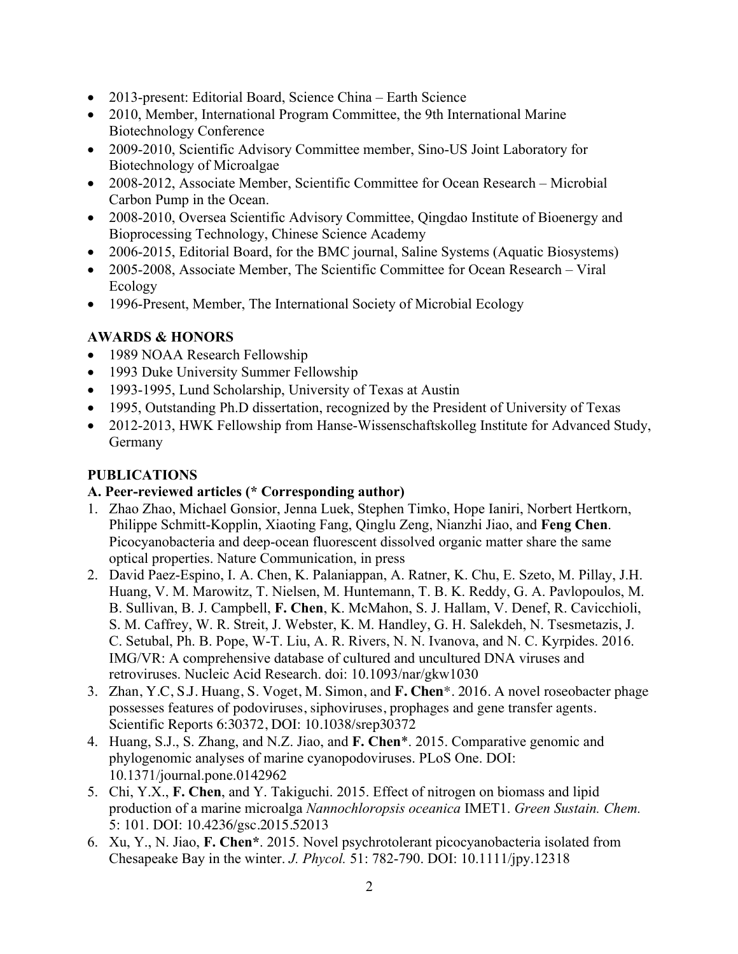- 2013-present: Editorial Board, Science China Earth Science
- 2010, Member, International Program Committee, the 9th International Marine Biotechnology Conference
- 2009-2010, Scientific Advisory Committee member, Sino-US Joint Laboratory for Biotechnology of Microalgae
- 2008-2012, Associate Member, Scientific Committee for Ocean Research Microbial Carbon Pump in the Ocean.
- 2008-2010, Oversea Scientific Advisory Committee, Qingdao Institute of Bioenergy and Bioprocessing Technology, Chinese Science Academy
- 2006-2015, Editorial Board, for the BMC journal, Saline Systems (Aquatic Biosystems)
- 2005-2008, Associate Member, The Scientific Committee for Ocean Research Viral Ecology
- 1996-Present, Member, The International Society of Microbial Ecology

# **AWARDS & HONORS**

- 1989 NOAA Research Fellowship
- 1993 Duke University Summer Fellowship
- 1993-1995, Lund Scholarship, University of Texas at Austin
- 1995, Outstanding Ph.D dissertation, recognized by the President of University of Texas
- 2012-2013, HWK Fellowship from Hanse-Wissenschaftskolleg Institute for Advanced Study, Germany

# **PUBLICATIONS**

# **A. Peer-reviewed articles (\* Corresponding author)**

- 1. Zhao Zhao, Michael Gonsior, Jenna Luek, Stephen Timko, Hope Ianiri, Norbert Hertkorn, Philippe Schmitt-Kopplin, Xiaoting Fang, Qinglu Zeng, Nianzhi Jiao, and **Feng Chen**. Picocyanobacteria and deep-ocean fluorescent dissolved organic matter share the same optical properties. Nature Communication, in press
- 2. David Paez-Espino, I. A. Chen, K. Palaniappan, A. Ratner, K. Chu, E. Szeto, M. Pillay, J.H. Huang, V. M. Marowitz, T. Nielsen, M. Huntemann, T. B. K. Reddy, G. A. Pavlopoulos, M. B. Sullivan, B. J. Campbell, **F. Chen**, K. McMahon, S. J. Hallam, V. Denef, R. Cavicchioli, S. M. Caffrey, W. R. Streit, J. Webster, K. M. Handley, G. H. Salekdeh, N. Tsesmetazis, J. C. Setubal, Ph. B. Pope, W-T. Liu, A. R. Rivers, N. N. Ivanova, and N. C. Kyrpides. 2016. IMG/VR: A comprehensive database of cultured and uncultured DNA viruses and retroviruses. Nucleic Acid Research. doi: 10.1093/nar/gkw1030
- 3. Zhan, Y.C, S.J. Huang, S. Voget, M. Simon, and **F. Chen**\*. 2016. A novel roseobacter phage possesses features of podoviruses, siphoviruses, prophages and gene transfer agents. Scientific Reports 6:30372, DOI: 10.1038/srep30372
- 4. Huang, S.J., S. Zhang, and N.Z. Jiao, and **F. Chen**\*. 2015. Comparative genomic and phylogenomic analyses of marine cyanopodoviruses. PLoS One. DOI: 10.1371/journal.pone.0142962
- 5. Chi, Y.X., **F. Chen**, and Y. Takiguchi. 2015. Effect of nitrogen on biomass and lipid production of a marine microalga *Nannochloropsis oceanica* IMET1. *Green Sustain. Chem.*  5: 101. DOI: 10.4236/gsc.2015.52013
- 6. Xu, Y., N. Jiao, **F. Chen\***. 2015. Novel psychrotolerant picocyanobacteria isolated from Chesapeake Bay in the winter. *J. Phycol.* 51: 782-790. DOI: 10.1111/jpy.12318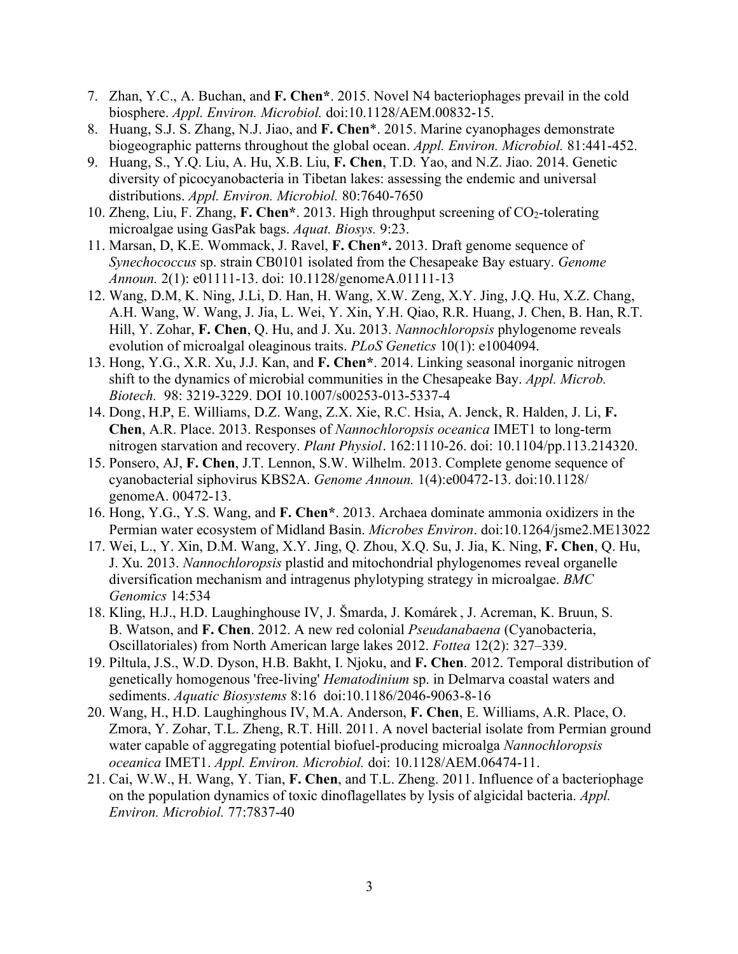- 7. Zhan, Y.C., A. Buchan, and **F. Chen\***. 2015. Novel N4 bacteriophages prevail in the cold biosphere. *Appl. Environ. Microbiol.* doi:10.1128/AEM.00832-15.
- 8. Huang, S.J. S. Zhang, N.J. Jiao, and **F. Chen**\*. 2015. Marine cyanophages demonstrate biogeographic patterns throughout the global ocean. *Appl. Environ. Microbiol.* 81:441-452.
- 9. Huang, S., Y.Q. Liu, A. Hu, X.B. Liu, **F. Chen**, T.D. Yao, and N.Z. Jiao. 2014. Genetic diversity of picocyanobacteria in Tibetan lakes: assessing the endemic and universal distributions. *Appl. Environ. Microbiol.* 80:7640-7650
- 10. Zheng, Liu, F. Zhang, F. Chen\*. 2013. High throughput screening of CO<sub>2</sub>-tolerating microalgae using GasPak bags. *Aquat. Biosys.* 9:23.
- 11. Marsan, D, K.E. Wommack, J. Ravel, **F. Chen\*.** 2013. Draft genome sequence of *Synechococcus* sp. strain CB0101 isolated from the Chesapeake Bay estuary. *Genome Announ.* 2(1): e01111-13. doi: 10.1128/genomeA.01111-13
- 12. Wang, D.M, K. Ning, J.Li, D. Han, H. Wang, X.W. Zeng, X.Y. Jing, J.Q. Hu, X.Z. Chang, A.H. Wang, W. Wang, J. Jia, L. Wei, Y. Xin, Y.H. Qiao, R.R. Huang, J. Chen, B. Han, R.T. Hill, Y. Zohar, **F. Chen**, Q. Hu, and J. Xu. 2013. *Nannochloropsis* phylogenome reveals evolution of microalgal oleaginous traits. *PLoS Genetics* 10(1): e1004094.
- 13. Hong, Y.G., X.R. Xu, J.J. Kan, and **F. Chen\***. 2014. Linking seasonal inorganic nitrogen shift to the dynamics of microbial communities in the Chesapeake Bay. *Appl. Microb. Biotech.* 98: 3219-3229. DOI 10.1007/s00253-013-5337-4
- 14. Dong, H.P, E. Williams, D.Z. Wang, Z.X. Xie, R.C. Hsia, A. Jenck, R. Halden, J. Li, **F. Chen**, A.R. Place. 2013. Responses of *Nannochloropsis oceanica* IMET1 to long-term nitrogen starvation and recovery. *Plant Physiol.* 162:1110-26. doi: 10.1104/pp.113.214320.
- 15. Ponsero, AJ, **F. Chen**, J.T. Lennon, S.W. Wilhelm. 2013. Complete genome sequence of cyanobacterial siphovirus KBS2A. *Genome Announ.* 1(4):e00472-13. doi:10.1128/ genomeA. 00472-13.
- 16. Hong, Y.G., Y.S. Wang, and **F. Chen\***. 2013. Archaea dominate ammonia oxidizers in the Permian water ecosystem of Midland Basin. *Microbes Environ*. doi:10.1264/jsme2.ME13022
- 17. Wei, L., Y. Xin, D.M. Wang, X.Y. Jing, Q. Zhou, X.Q. Su, J. Jia, K. Ning, **F. Chen**, Q. Hu, J. Xu. 2013. *Nannochloropsis* plastid and mitochondrial phylogenomes reveal organelle diversification mechanism and intragenus phylotyping strategy in microalgae. *BMC Genomics* 14:534
- 18. Kling, H.J., H.D. Laughinghouse IV, J. Šmarda, J. Komárek , J. Acreman, K. Bruun, S. B. Watson, and **F. Chen**. 2012. A new red colonial *Pseudanabaena* (Cyanobacteria, Oscillatoriales) from North American large lakes 2012. *Fottea* 12(2): 327–339.
- 19. Piltula, J.S., W.D. Dyson, H.B. Bakht, I. Njoku, and **F. Chen**. 2012. Temporal distribution of genetically homogenous 'free-living' *Hematodinium* sp. in Delmarva coastal waters and sediments. *Aquatic Biosystems* 8:16 doi:10.1186/2046-9063-8-16
- 20. Wang, H., H.D. Laughinghous IV, M.A. Anderson, **F. Chen**, E. Williams, A.R. Place, O. Zmora, Y. Zohar, T.L. Zheng, R.T. Hill. 2011. A novel bacterial isolate from Permian ground water capable of aggregating potential biofuel-producing microalga *Nannochloropsis oceanica* IMET1. *Appl. Environ. Microbiol.* doi: 10.1128/AEM.06474-11.
- 21. Cai, W.W., H. Wang, Y. Tian, **F. Chen**, and T.L. Zheng. 2011. Influence of a bacteriophage on the population dynamics of toxic dinoflagellates by lysis of algicidal bacteria. *Appl. Environ. Microbiol.* 77:7837-40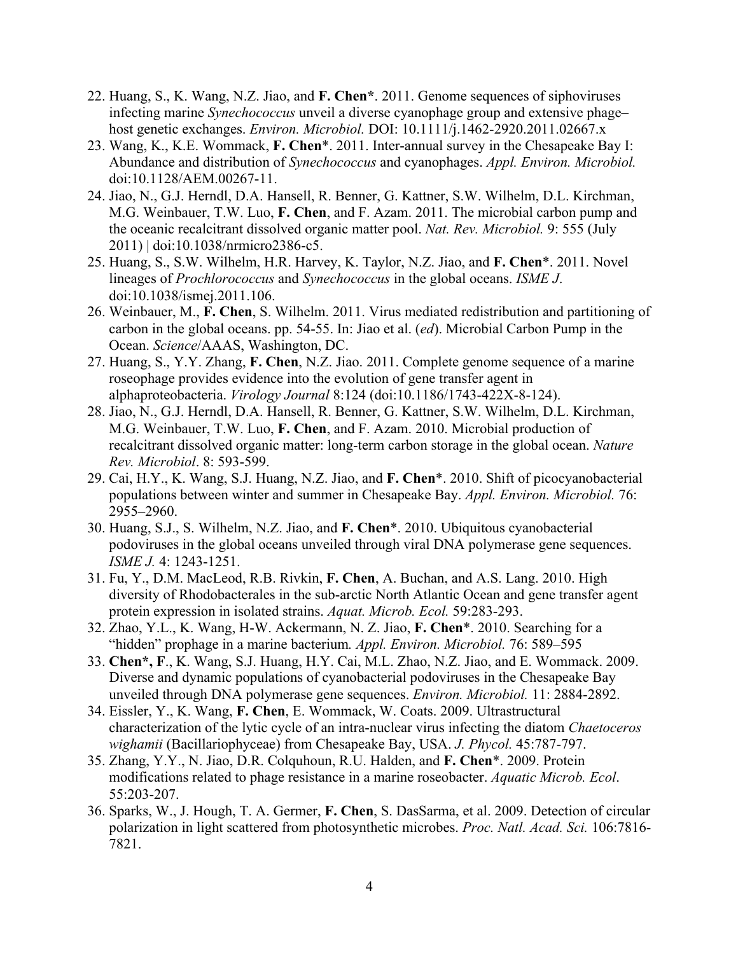- 22. Huang, S., K. Wang, N.Z. Jiao, and **F. Chen\***. 2011. Genome sequences of siphoviruses infecting marine *Synechococcus* unveil a diverse cyanophage group and extensive phage– host genetic exchanges. *Environ. Microbiol.* DOI: 10.1111/j.1462-2920.2011.02667.x
- 23. Wang, K., K.E. Wommack, **F. Chen**\*. 2011. Inter-annual survey in the Chesapeake Bay I: Abundance and distribution of *Synechococcus* and cyanophages. *Appl. Environ. Microbiol.*  doi:10.1128/AEM.00267-11.
- 24. Jiao, N., G.J. Herndl, D.A. Hansell, R. Benner, G. Kattner, S.W. Wilhelm, D.L. Kirchman, M.G. Weinbauer, T.W. Luo, **F. Chen**, and F. Azam. 2011. The microbial carbon pump and the oceanic recalcitrant dissolved organic matter pool. *Nat. Rev. Microbiol.* 9: 555 (July 2011) | doi:10.1038/nrmicro2386-c5.
- 25. Huang, S., S.W. Wilhelm, H.R. Harvey, K. Taylor, N.Z. Jiao, and **F. Chen**\*. 2011. Novel lineages of *Prochlorococcus* and *Synechococcus* in the global oceans. *ISME J*. doi:10.1038/ismej.2011.106.
- 26. Weinbauer, M., **F. Chen**, S. Wilhelm. 2011. Virus mediated redistribution and partitioning of carbon in the global oceans. pp. 54-55. In: Jiao et al. (*ed*). Microbial Carbon Pump in the Ocean. *Science*/AAAS, Washington, DC.
- 27. Huang, S., Y.Y. Zhang, **F. Chen**, N.Z. Jiao. 2011. Complete genome sequence of a marine roseophage provides evidence into the evolution of gene transfer agent in alphaproteobacteria. *Virology Journal* 8:124 (doi:10.1186/1743-422X-8-124).
- 28. Jiao, N., G.J. Herndl, D.A. Hansell, R. Benner, G. Kattner, S.W. Wilhelm, D.L. Kirchman, M.G. Weinbauer, T.W. Luo, **F. Chen**, and F. Azam. 2010. Microbial production of recalcitrant dissolved organic matter: long-term carbon storage in the global ocean. *Nature Rev. Microbiol*. 8: 593-599.
- 29. Cai, H.Y., K. Wang, S.J. Huang, N.Z. Jiao, and **F. Chen**\*. 2010. Shift of picocyanobacterial populations between winter and summer in Chesapeake Bay. *Appl. Environ. Microbiol.* 76: 2955–2960.
- 30. Huang, S.J., S. Wilhelm, N.Z. Jiao, and **F. Chen**\*. 2010. Ubiquitous cyanobacterial podoviruses in the global oceans unveiled through viral DNA polymerase gene sequences. *ISME J.* 4: 1243-1251.
- 31. Fu, Y., D.M. MacLeod, R.B. Rivkin, **F. Chen**, A. Buchan, and A.S. Lang. 2010. High diversity of Rhodobacterales in the sub-arctic North Atlantic Ocean and gene transfer agent protein expression in isolated strains. *Aquat. Microb. Ecol.* 59:283-293.
- 32. Zhao, Y.L., K. Wang, H-W. Ackermann, N. Z. Jiao, **F. Chen**\*. 2010. Searching for a "hidden" prophage in a marine bacterium*. Appl. Environ. Microbiol.* 76: 589–595
- 33. **Chen\*, F**., K. Wang, S.J. Huang, H.Y. Cai, M.L. Zhao, N.Z. Jiao, and E. Wommack. 2009. Diverse and dynamic populations of cyanobacterial podoviruses in the Chesapeake Bay unveiled through DNA polymerase gene sequences. *Environ. Microbiol.* 11: 2884-2892.
- 34. Eissler, Y., K. Wang, **F. Chen**, E. Wommack, W. Coats. 2009. Ultrastructural characterization of the lytic cycle of an intra-nuclear virus infecting the diatom *Chaetoceros wighamii* (Bacillariophyceae) from Chesapeake Bay, USA. *J. Phycol.* 45:787-797.
- 35. Zhang, Y.Y., N. Jiao, D.R. Colquhoun, R.U. Halden, and **F. Chen**\*. 2009. Protein modifications related to phage resistance in a marine roseobacter. *Aquatic Microb. Ecol*. 55:203-207.
- 36. Sparks, W., J. Hough, T. A. Germer, **F. Chen**, S. DasSarma, et al. 2009. Detection of circular polarization in light scattered from photosynthetic microbes. *Proc. Natl. Acad. Sci.* 106:7816- 7821.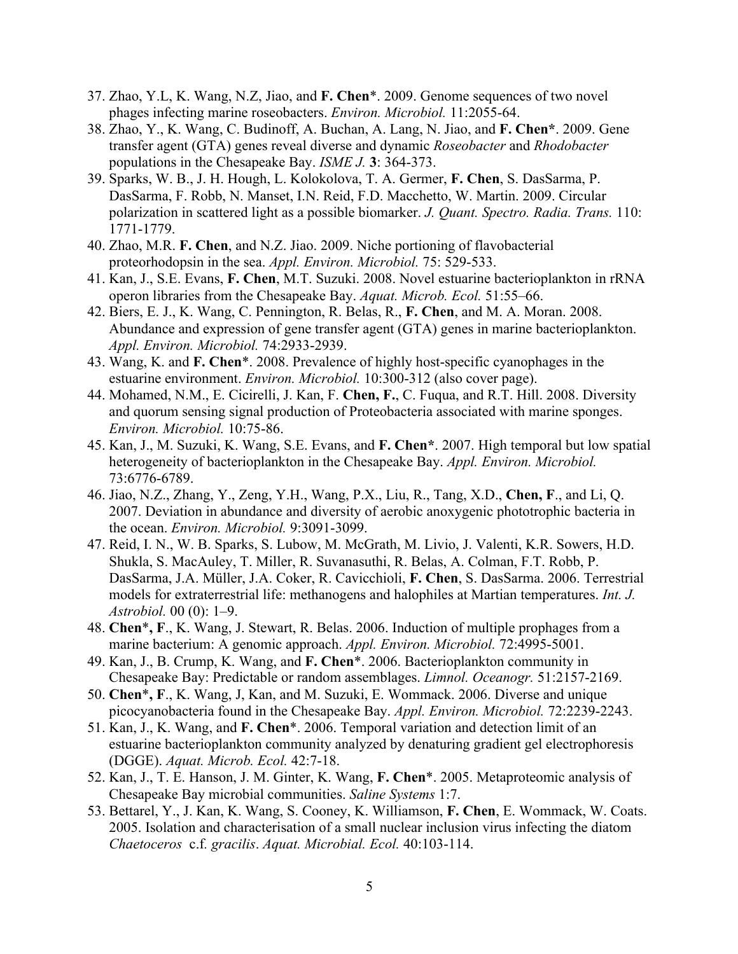- 37. Zhao, Y.L, K. Wang, N.Z, Jiao, and **F. Chen**\*. 2009. Genome sequences of two novel phages infecting marine roseobacters. *Environ. Microbiol.* 11:2055-64.
- 38. Zhao, Y., K. Wang, C. Budinoff, A. Buchan, A. Lang, N. Jiao, and **F. Chen\***. 2009. Gene transfer agent (GTA) genes reveal diverse and dynamic *Roseobacter* and *Rhodobacter* populations in the Chesapeake Bay. *ISME J.* **3**: 364-373.
- 39. Sparks, W. B., J. H. Hough, L. Kolokolova, T. A. Germer, **F. Chen**, S. DasSarma, P. DasSarma, F. Robb, N. Manset, I.N. Reid, F.D. Macchetto, W. Martin. 2009. Circular polarization in scattered light as a possible biomarker. *J. Quant. Spectro. Radia. Trans.* 110: 1771-1779.
- 40. Zhao, M.R. **F. Chen**, and N.Z. Jiao. 2009. Niche portioning of flavobacterial proteorhodopsin in the sea. *Appl. Environ. Microbiol.* 75: 529-533.
- 41. Kan, J., S.E. Evans, **F. Chen**, M.T. Suzuki. 2008. Novel estuarine bacterioplankton in rRNA operon libraries from the Chesapeake Bay. *Aquat. Microb. Ecol.* 51:55–66.
- 42. Biers, E. J., K. Wang, C. Pennington, R. Belas, R., **F. Chen**, and M. A. Moran. 2008. Abundance and expression of gene transfer agent (GTA) genes in marine bacterioplankton. *Appl. Environ. Microbiol.* 74:2933-2939.
- 43. Wang, K. and **F. Chen**\*. 2008. Prevalence of highly host-specific cyanophages in the estuarine environment. *Environ. Microbiol.* 10:300-312 (also cover page).
- 44. Mohamed, N.M., E. Cicirelli, J. Kan, F. **Chen, F.**, C. Fuqua, and R.T. Hill. 2008. Diversity and quorum sensing signal production of Proteobacteria associated with marine sponges. *Environ. Microbiol.* 10:75-86.
- 45. Kan, J., M. Suzuki, K. Wang, S.E. Evans, and **F. Chen\***. 2007. High temporal but low spatial heterogeneity of bacterioplankton in the Chesapeake Bay. *Appl. Environ. Microbiol.* 73:6776-6789.
- 46. Jiao, N.Z., Zhang, Y., Zeng, Y.H., Wang, P.X., Liu, R., Tang, X.D., **Chen, F**., and Li, Q. 2007. Deviation in abundance and diversity of aerobic anoxygenic phototrophic bacteria in the ocean. *Environ. Microbiol.* 9:3091-3099.
- 47. Reid, I. N., W. B. Sparks, S. Lubow, M. McGrath, M. Livio, J. Valenti, K.R. Sowers, H.D. Shukla, S. MacAuley, T. Miller, R. Suvanasuthi, R. Belas, A. Colman, F.T. Robb, P. DasSarma, J.A. Müller, J.A. Coker, R. Cavicchioli, **F. Chen**, S. DasSarma. 2006. Terrestrial models for extraterrestrial life: methanogens and halophiles at Martian temperatures. *Int. J. Astrobiol.* 00 (0): 1–9.
- 48. **Chen**\***, F**., K. Wang, J. Stewart, R. Belas. 2006. Induction of multiple prophages from a marine bacterium: A genomic approach. *Appl. Environ. Microbiol.* 72:4995-5001.
- 49. Kan, J., B. Crump, K. Wang, and **F. Chen**\*. 2006. Bacterioplankton community in Chesapeake Bay: Predictable or random assemblages. *Limnol. Oceanogr.* 51:2157-2169.
- 50. **Chen**\***, F**., K. Wang, J, Kan, and M. Suzuki, E. Wommack. 2006. Diverse and unique picocyanobacteria found in the Chesapeake Bay. *Appl. Environ. Microbiol.* 72:2239-2243.
- 51. Kan, J., K. Wang, and **F. Chen**\*. 2006. Temporal variation and detection limit of an estuarine bacterioplankton community analyzed by denaturing gradient gel electrophoresis (DGGE). *Aquat. Microb. Ecol.* 42:7-18.
- 52. Kan, J., T. E. Hanson, J. M. Ginter, K. Wang, **F. Chen**\*. 2005. Metaproteomic analysis of Chesapeake Bay microbial communities. *Saline Systems* 1:7.
- 53. Bettarel, Y., J. Kan, K. Wang, S. Cooney, K. Williamson, **F. Chen**, E. Wommack, W. Coats. 2005. Isolation and characterisation of a small nuclear inclusion virus infecting the diatom *Chaetoceros* c.f*. gracilis*. *Aquat. Microbial. Ecol.* 40:103-114.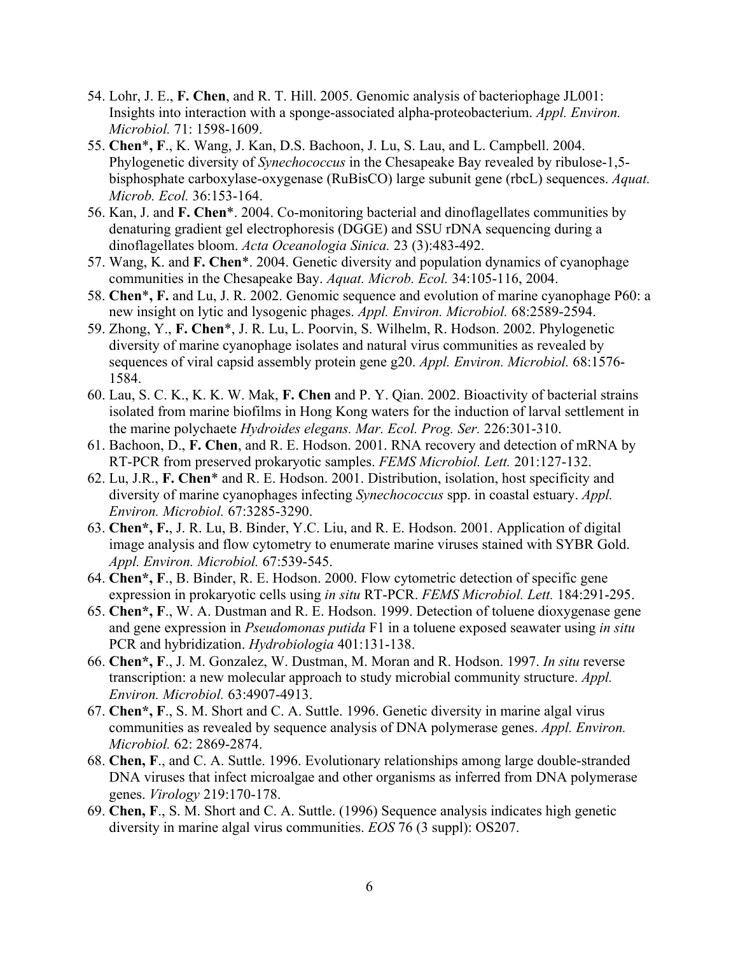- 54. Lohr, J. E., **F. Chen**, and R. T. Hill. 2005. Genomic analysis of bacteriophage JL001: Insights into interaction with a sponge-associated alpha-proteobacterium. *Appl. Environ. Microbiol.* 71: 1598-1609.
- 55. **Chen**\***, F**., K. Wang, J. Kan, D.S. Bachoon, J. Lu, S. Lau, and L. Campbell. 2004. Phylogenetic diversity of *Synechococcus* in the Chesapeake Bay revealed by ribulose-1,5 bisphosphate carboxylase-oxygenase (RuBisCO) large subunit gene (rbcL) sequences. *Aquat. Microb. Ecol.* 36:153-164.
- 56. Kan, J. and **F. Chen**\*. 2004. Co-monitoring bacterial and dinoflagellates communities by denaturing gradient gel electrophoresis (DGGE) and SSU rDNA sequencing during a dinoflagellates bloom. *Acta Oceanologia Sinica.* 23 (3):483-492.
- 57. Wang, K. and **F. Chen**\*. 2004. Genetic diversity and population dynamics of cyanophage communities in the Chesapeake Bay. *Aquat. Microb. Ecol.* 34:105-116, 2004.
- 58. **Chen**\***, F.** and Lu, J. R. 2002. Genomic sequence and evolution of marine cyanophage P60: a new insight on lytic and lysogenic phages. *Appl. Environ. Microbiol.* 68:2589-2594.
- 59. Zhong, Y., **F. Chen**\*, J. R. Lu, L. Poorvin, S. Wilhelm, R. Hodson. 2002. Phylogenetic diversity of marine cyanophage isolates and natural virus communities as revealed by sequences of viral capsid assembly protein gene g20. *Appl. Environ. Microbiol.* 68:1576- 1584.
- 60. Lau, S. C. K., K. K. W. Mak, **F. Chen** and P. Y. Qian. 2002. Bioactivity of bacterial strains isolated from marine biofilms in Hong Kong waters for the induction of larval settlement in the marine polychaete *Hydroides elegans. Mar. Ecol. Prog. Ser.* 226:301-310.
- 61. Bachoon, D., **F. Chen**, and R. E. Hodson. 2001. RNA recovery and detection of mRNA by RT-PCR from preserved prokaryotic samples. *FEMS Microbiol. Lett.* 201:127-132.
- 62. Lu, J.R., **F. Chen**\* and R. E. Hodson. 2001. Distribution, isolation, host specificity and diversity of marine cyanophages infecting *Synechococcus* spp. in coastal estuary. *Appl. Environ. Microbiol.* 67:3285-3290.
- 63. **Chen\*, F.**, J. R. Lu, B. Binder, Y.C. Liu, and R. E. Hodson. 2001. Application of digital image analysis and flow cytometry to enumerate marine viruses stained with SYBR Gold. *Appl. Environ. Microbiol.* 67:539-545.
- 64. **Chen\*, F**., B. Binder, R. E. Hodson. 2000. Flow cytometric detection of specific gene expression in prokaryotic cells using *in situ* RT-PCR. *FEMS Microbiol. Lett.* 184:291-295.
- 65. **Chen\*, F**., W. A. Dustman and R. E. Hodson. 1999. Detection of toluene dioxygenase gene and gene expression in *Pseudomonas putida* F1 in a toluene exposed seawater using *in situ* PCR and hybridization. *Hydrobiologia* 401:131-138.
- 66. **Chen\*, F**., J. M. Gonzalez, W. Dustman, M. Moran and R. Hodson. 1997. *In situ* reverse transcription: a new molecular approach to study microbial community structure. *Appl. Environ. Microbiol.* 63:4907-4913.
- 67. **Chen\*, F**., S. M. Short and C. A. Suttle. 1996. Genetic diversity in marine algal virus communities as revealed by sequence analysis of DNA polymerase genes. *Appl. Environ. Microbiol.* 62: 2869-2874.
- 68. **Chen, F**., and C. A. Suttle. 1996. Evolutionary relationships among large double-stranded DNA viruses that infect microalgae and other organisms as inferred from DNA polymerase genes. *Virology* 219:170-178.
- 69. **Chen, F**., S. M. Short and C. A. Suttle. (1996) Sequence analysis indicates high genetic diversity in marine algal virus communities. *EOS* 76 (3 suppl): OS207.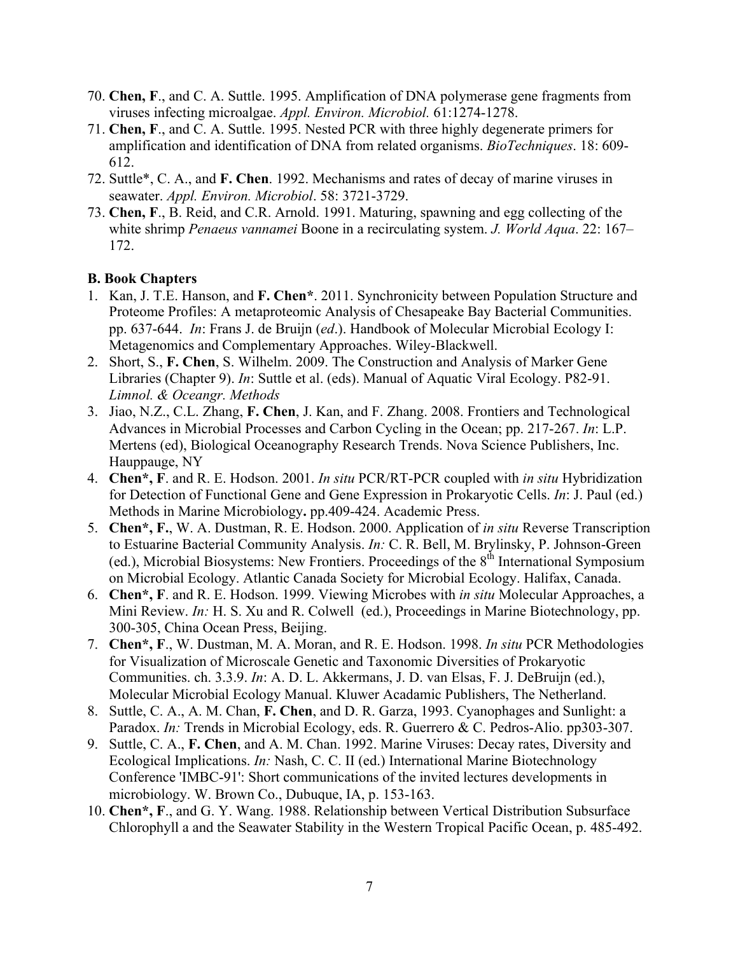- 70. **Chen, F**., and C. A. Suttle. 1995. Amplification of DNA polymerase gene fragments from viruses infecting microalgae. *Appl. Environ. Microbiol.* 61:1274-1278.
- 71. **Chen, F**., and C. A. Suttle. 1995. Nested PCR with three highly degenerate primers for amplification and identification of DNA from related organisms. *BioTechniques*. 18: 609- 612.
- 72. Suttle\*, C. A., and **F. Chen**. 1992. Mechanisms and rates of decay of marine viruses in seawater. *Appl. Environ. Microbiol*. 58: 3721-3729.
- 73. **Chen, F**., B. Reid, and C.R. Arnold. 1991. Maturing, spawning and egg collecting of the white shrimp *Penaeus vannamei* Boone in a recirculating system. *J. World Aqua*. 22: 167– 172.

#### **B. Book Chapters**

- 1. Kan, J. T.E. Hanson, and **F. Chen\***. 2011. Synchronicity between Population Structure and Proteome Profiles: A metaproteomic Analysis of Chesapeake Bay Bacterial Communities. pp. 637-644. *In*: Frans J. de Bruijn (*ed*.). Handbook of Molecular Microbial Ecology I: Metagenomics and Complementary Approaches. Wiley-Blackwell.
- 2. Short, S., **F. Chen**, S. Wilhelm. 2009. The Construction and Analysis of Marker Gene Libraries (Chapter 9). *In*: Suttle et al. (eds). Manual of Aquatic Viral Ecology. P82-91. *Limnol. & Oceangr. Methods*
- 3. Jiao, N.Z., C.L. Zhang, **F. Chen**, J. Kan, and F. Zhang. 2008. Frontiers and Technological Advances in Microbial Processes and Carbon Cycling in the Ocean; pp. 217-267. *In*: L.P. Mertens (ed), Biological Oceanography Research Trends. Nova Science Publishers, Inc. Hauppauge, NY
- 4. **Chen\*, F**. and R. E. Hodson. 2001. *In situ* PCR/RT-PCR coupled with *in situ* Hybridization for Detection of Functional Gene and Gene Expression in Prokaryotic Cells. *In*: J. Paul (ed.) Methods in Marine Microbiology**.** pp.409-424. Academic Press.
- 5. **Chen\*, F.**, W. A. Dustman, R. E. Hodson. 2000. Application of *in situ* Reverse Transcription to Estuarine Bacterial Community Analysis. *In:* C. R. Bell, M. Brylinsky, P. Johnson-Green (ed.), Microbial Biosystems: New Frontiers. Proceedings of the 8<sup>th</sup> International Symposium on Microbial Ecology. Atlantic Canada Society for Microbial Ecology. Halifax, Canada.
- 6. **Chen\*, F**. and R. E. Hodson. 1999. Viewing Microbes with *in situ* Molecular Approaches, a Mini Review. *In:* H. S. Xu and R. Colwell (ed.), Proceedings in Marine Biotechnology, pp. 300-305, China Ocean Press, Beijing.
- 7. **Chen\*, F**., W. Dustman, M. A. Moran, and R. E. Hodson. 1998. *In situ* PCR Methodologies for Visualization of Microscale Genetic and Taxonomic Diversities of Prokaryotic Communities. ch. 3.3.9. *In*: A. D. L. Akkermans, J. D. van Elsas, F. J. DeBruijn (ed.), Molecular Microbial Ecology Manual. Kluwer Acadamic Publishers, The Netherland.
- 8. Suttle, C. A., A. M. Chan, **F. Chen**, and D. R. Garza, 1993. Cyanophages and Sunlight: a Paradox. *In:* Trends in Microbial Ecology, eds. R. Guerrero & C. Pedros-Alio. pp303-307.
- 9. Suttle, C. A., **F. Chen**, and A. M. Chan. 1992. Marine Viruses: Decay rates, Diversity and Ecological Implications. *In:* Nash, C. C. II (ed.) International Marine Biotechnology Conference 'IMBC-91': Short communications of the invited lectures developments in microbiology. W. Brown Co., Dubuque, IA, p. 153-163.
- 10. **Chen\*, F**., and G. Y. Wang. 1988. Relationship between Vertical Distribution Subsurface Chlorophyll a and the Seawater Stability in the Western Tropical Pacific Ocean, p. 485-492.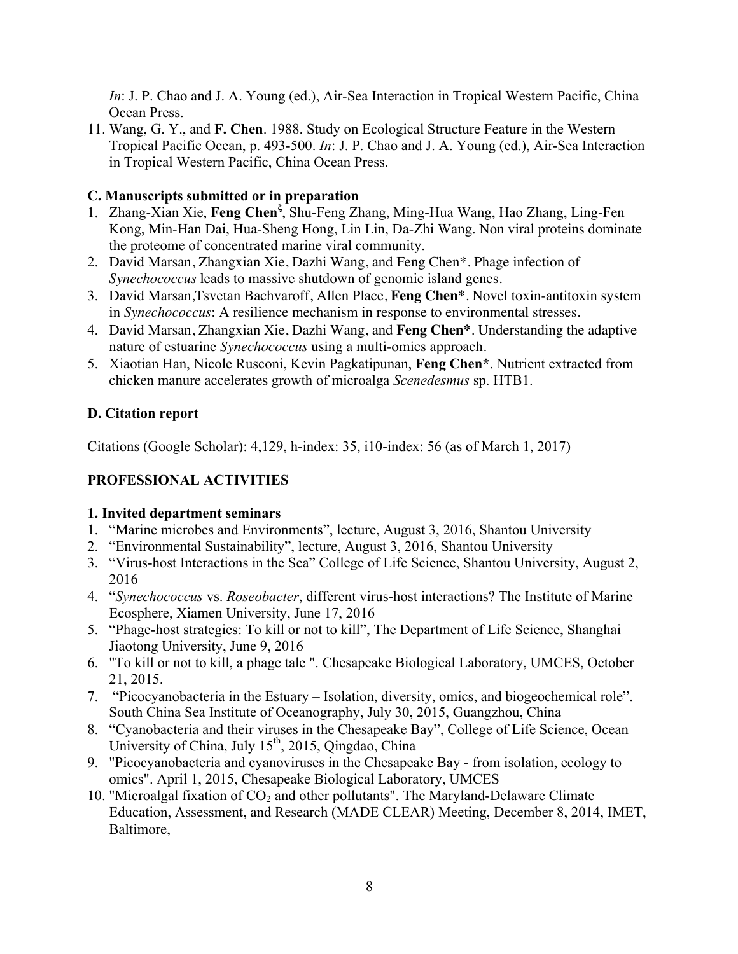*In*: J. P. Chao and J. A. Young (ed.), Air-Sea Interaction in Tropical Western Pacific, China Ocean Press.

11. Wang, G. Y., and **F. Chen**. 1988. Study on Ecological Structure Feature in the Western Tropical Pacific Ocean, p. 493-500. *In*: J. P. Chao and J. A. Young (ed.), Air-Sea Interaction in Tropical Western Pacific, China Ocean Press.

# **C. Manuscripts submitted or in preparation**

- 1. Zhang-Xian Xie, Feng Chen<sup>5</sup>, Shu-Feng Zhang, Ming-Hua Wang, Hao Zhang, Ling-Fen Kong, Min-Han Dai, Hua-Sheng Hong, Lin Lin, Da-Zhi Wang. Non viral proteins dominate the proteome of concentrated marine viral community.
- 2. David Marsan, Zhangxian Xie, Dazhi Wang, and Feng Chen\*. Phage infection of *Synechococcus* leads to massive shutdown of genomic island genes.
- 3. David Marsan,Tsvetan Bachvaroff, Allen Place, **Feng Chen\***. Novel toxin-antitoxin system in *Synechococcus*: A resilience mechanism in response to environmental stresses.
- 4. David Marsan, Zhangxian Xie, Dazhi Wang, and **Feng Chen\***. Understanding the adaptive nature of estuarine *Synechococcus* using a multi-omics approach.
- 5. Xiaotian Han, Nicole Rusconi, Kevin Pagkatipunan, **Feng Chen\***. Nutrient extracted from chicken manure accelerates growth of microalga *Scenedesmus* sp. HTB1.

# **D. Citation report**

Citations (Google Scholar): 4,129, h-index: 35, i10-index: 56 (as of March 1, 2017)

# **PROFESSIONAL ACTIVITIES**

#### **1. Invited department seminars**

- 1. "Marine microbes and Environments", lecture, August 3, 2016, Shantou University
- 2. "Environmental Sustainability", lecture, August 3, 2016, Shantou University
- 3. "Virus-host Interactions in the Sea" College of Life Science, Shantou University, August 2, 2016
- 4. "*Synechococcus* vs. *Roseobacter*, different virus-host interactions? The Institute of Marine Ecosphere, Xiamen University, June 17, 2016
- 5. "Phage-host strategies: To kill or not to kill", The Department of Life Science, Shanghai Jiaotong University, June 9, 2016
- 6. "To kill or not to kill, a phage tale ". Chesapeake Biological Laboratory, UMCES, October 21, 2015.
- 7. "Picocyanobacteria in the Estuary Isolation, diversity, omics, and biogeochemical role". South China Sea Institute of Oceanography, July 30, 2015, Guangzhou, China
- 8. "Cyanobacteria and their viruses in the Chesapeake Bay", College of Life Science, Ocean University of China, July  $15<sup>th</sup>$ , 2015, Qingdao, China
- 9. "Picocyanobacteria and cyanoviruses in the Chesapeake Bay from isolation, ecology to omics". April 1, 2015, Chesapeake Biological Laboratory, UMCES
- 10. "Microalgal fixation of  $CO<sub>2</sub>$  and other pollutants". The Maryland-Delaware Climate Education, Assessment, and Research (MADE CLEAR) Meeting, December 8, 2014, IMET, Baltimore,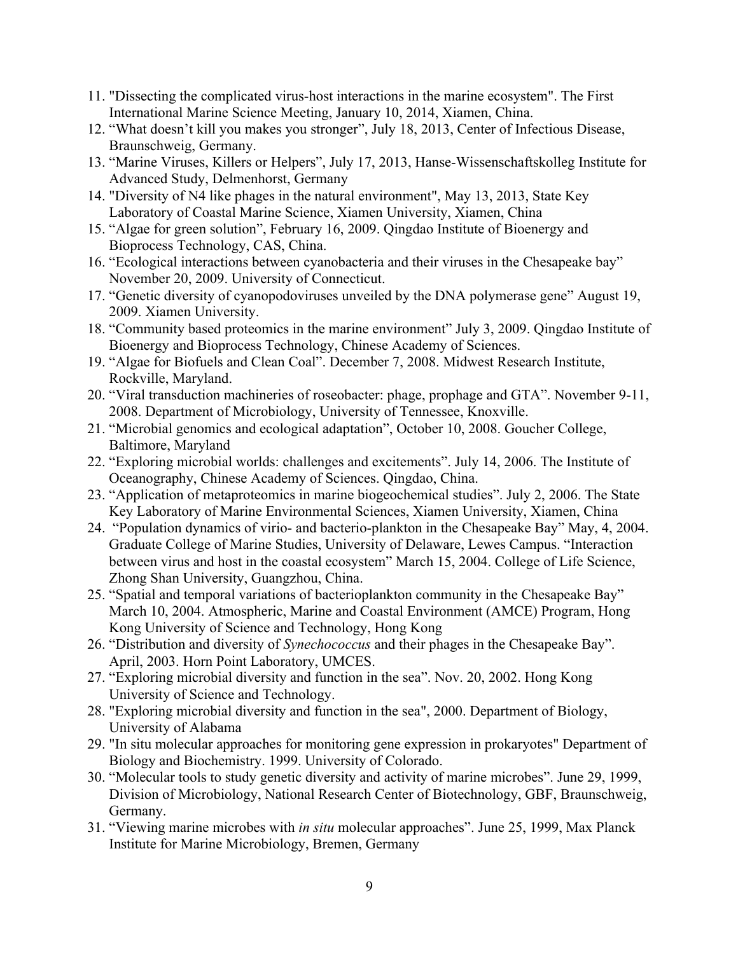- 11. "Dissecting the complicated virus-host interactions in the marine ecosystem". The First International Marine Science Meeting, January 10, 2014, Xiamen, China.
- 12. "What doesn't kill you makes you stronger", July 18, 2013, Center of Infectious Disease, Braunschweig, Germany.
- 13. "Marine Viruses, Killers or Helpers", July 17, 2013, Hanse-Wissenschaftskolleg Institute for Advanced Study, Delmenhorst, Germany
- 14. "Diversity of N4 like phages in the natural environment", May 13, 2013, State Key Laboratory of Coastal Marine Science, Xiamen University, Xiamen, China
- 15. "Algae for green solution", February 16, 2009. Qingdao Institute of Bioenergy and Bioprocess Technology, CAS, China.
- 16. "Ecological interactions between cyanobacteria and their viruses in the Chesapeake bay" November 20, 2009. University of Connecticut.
- 17. "Genetic diversity of cyanopodoviruses unveiled by the DNA polymerase gene" August 19, 2009. Xiamen University.
- 18. "Community based proteomics in the marine environment" July 3, 2009. Qingdao Institute of Bioenergy and Bioprocess Technology, Chinese Academy of Sciences.
- 19. "Algae for Biofuels and Clean Coal". December 7, 2008. Midwest Research Institute, Rockville, Maryland.
- 20. "Viral transduction machineries of roseobacter: phage, prophage and GTA". November 9-11, 2008. Department of Microbiology, University of Tennessee, Knoxville.
- 21. "Microbial genomics and ecological adaptation", October 10, 2008. Goucher College, Baltimore, Maryland
- 22. "Exploring microbial worlds: challenges and excitements". July 14, 2006. The Institute of Oceanography, Chinese Academy of Sciences. Qingdao, China.
- 23. "Application of metaproteomics in marine biogeochemical studies". July 2, 2006. The State Key Laboratory of Marine Environmental Sciences, Xiamen University, Xiamen, China
- 24. "Population dynamics of virio- and bacterio-plankton in the Chesapeake Bay" May, 4, 2004. Graduate College of Marine Studies, University of Delaware, Lewes Campus. "Interaction between virus and host in the coastal ecosystem" March 15, 2004. College of Life Science, Zhong Shan University, Guangzhou, China.
- 25. "Spatial and temporal variations of bacterioplankton community in the Chesapeake Bay" March 10, 2004. Atmospheric, Marine and Coastal Environment (AMCE) Program, Hong Kong University of Science and Technology, Hong Kong
- 26. "Distribution and diversity of *Synechococcus* and their phages in the Chesapeake Bay". April, 2003. Horn Point Laboratory, UMCES.
- 27. "Exploring microbial diversity and function in the sea". Nov. 20, 2002. Hong Kong University of Science and Technology.
- 28. "Exploring microbial diversity and function in the sea", 2000. Department of Biology, University of Alabama
- 29. "In situ molecular approaches for monitoring gene expression in prokaryotes" Department of Biology and Biochemistry. 1999. University of Colorado.
- 30. "Molecular tools to study genetic diversity and activity of marine microbes". June 29, 1999, Division of Microbiology, National Research Center of Biotechnology, GBF, Braunschweig, Germany.
- 31. "Viewing marine microbes with *in situ* molecular approaches". June 25, 1999, Max Planck Institute for Marine Microbiology, Bremen, Germany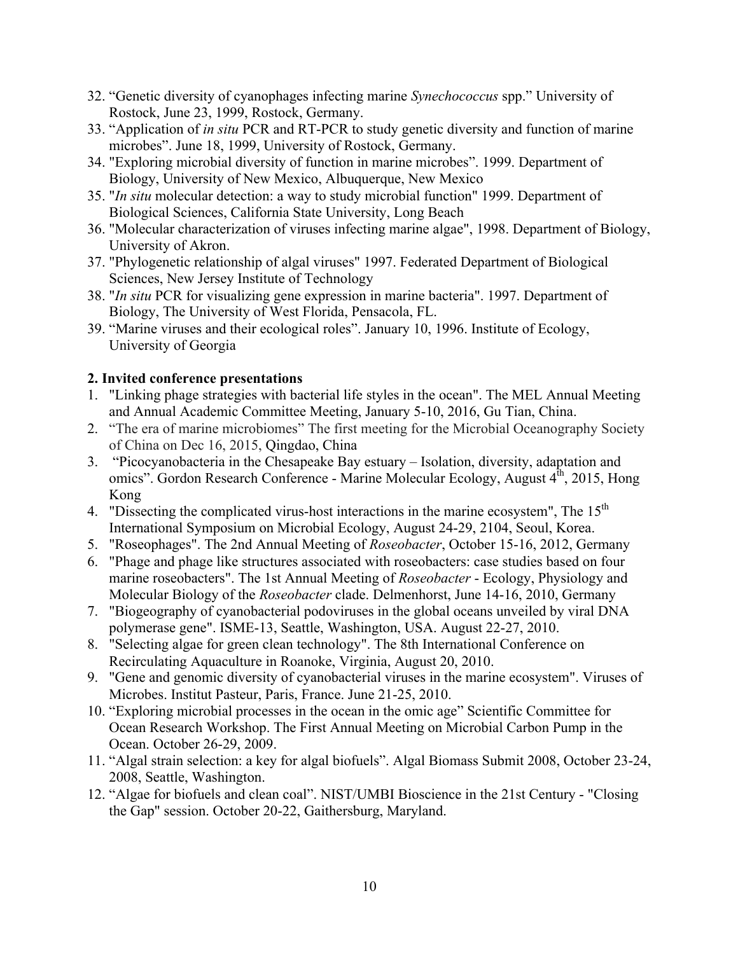- 32. "Genetic diversity of cyanophages infecting marine *Synechococcus* spp." University of Rostock, June 23, 1999, Rostock, Germany.
- 33. "Application of *in situ* PCR and RT-PCR to study genetic diversity and function of marine microbes". June 18, 1999, University of Rostock, Germany.
- 34. "Exploring microbial diversity of function in marine microbes". 1999. Department of Biology, University of New Mexico, Albuquerque, New Mexico
- 35. "*In situ* molecular detection: a way to study microbial function" 1999. Department of Biological Sciences, California State University, Long Beach
- 36. "Molecular characterization of viruses infecting marine algae", 1998. Department of Biology, University of Akron.
- 37. "Phylogenetic relationship of algal viruses" 1997. Federated Department of Biological Sciences, New Jersey Institute of Technology
- 38. "*In situ* PCR for visualizing gene expression in marine bacteria". 1997. Department of Biology, The University of West Florida, Pensacola, FL.
- 39. "Marine viruses and their ecological roles". January 10, 1996. Institute of Ecology, University of Georgia

### **2. Invited conference presentations**

- 1. "Linking phage strategies with bacterial life styles in the ocean". The MEL Annual Meeting and Annual Academic Committee Meeting, January 5-10, 2016, Gu Tian, China.
- 2. "The era of marine microbiomes" The first meeting for the Microbial Oceanography Society of China on Dec 16, 2015, Qingdao, China
- 3. "Picocyanobacteria in the Chesapeake Bay estuary Isolation, diversity, adaptation and omics". Gordon Research Conference - Marine Molecular Ecology, August 4<sup>th</sup>, 2015, Hong Kong
- 4. "Dissecting the complicated virus-host interactions in the marine ecosystem", The 15<sup>th</sup> International Symposium on Microbial Ecology, August 24-29, 2104, Seoul, Korea.
- 5. "Roseophages". The 2nd Annual Meeting of *Roseobacter*, October 15-16, 2012, Germany
- 6. "Phage and phage like structures associated with roseobacters: case studies based on four marine roseobacters". The 1st Annual Meeting of *Roseobacter* - Ecology, Physiology and Molecular Biology of the *Roseobacter* clade. Delmenhorst, June 14-16, 2010, Germany
- 7. "Biogeography of cyanobacterial podoviruses in the global oceans unveiled by viral DNA polymerase gene". ISME-13, Seattle, Washington, USA. August 22-27, 2010.
- 8. "Selecting algae for green clean technology". The 8th International Conference on Recirculating Aquaculture in Roanoke, Virginia, August 20, 2010.
- 9. "Gene and genomic diversity of cyanobacterial viruses in the marine ecosystem". Viruses of Microbes. Institut Pasteur, Paris, France. June 21-25, 2010.
- 10. "Exploring microbial processes in the ocean in the omic age" Scientific Committee for Ocean Research Workshop. The First Annual Meeting on Microbial Carbon Pump in the Ocean. October 26-29, 2009.
- 11. "Algal strain selection: a key for algal biofuels". Algal Biomass Submit 2008, October 23-24, 2008, Seattle, Washington.
- 12. "Algae for biofuels and clean coal". NIST/UMBI Bioscience in the 21st Century "Closing the Gap" session. October 20-22, Gaithersburg, Maryland.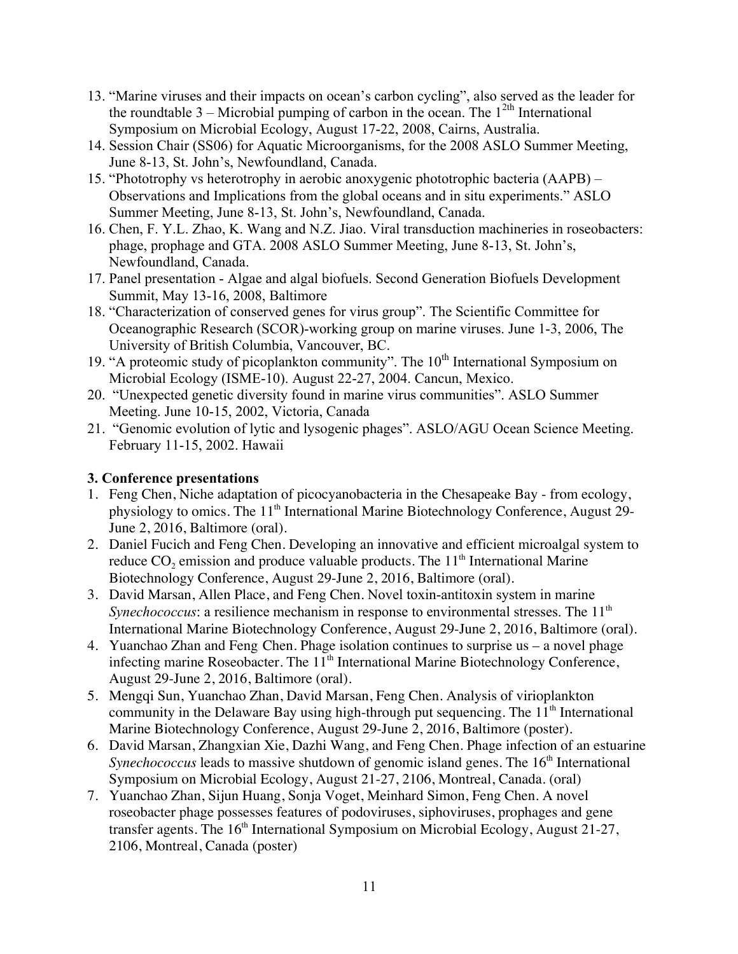- 13. "Marine viruses and their impacts on ocean's carbon cycling", also served as the leader for the roundtable  $3$  – Microbial pumping of carbon in the ocean. The  $1^{2th}$  International Symposium on Microbial Ecology, August 17-22, 2008, Cairns, Australia.
- 14. Session Chair (SS06) for Aquatic Microorganisms, for the 2008 ASLO Summer Meeting, June 8-13, St. John's, Newfoundland, Canada.
- 15. "Phototrophy vs heterotrophy in aerobic anoxygenic phototrophic bacteria (AAPB) Observations and Implications from the global oceans and in situ experiments." ASLO Summer Meeting, June 8-13, St. John's, Newfoundland, Canada.
- 16. Chen, F. Y.L. Zhao, K. Wang and N.Z. Jiao. Viral transduction machineries in roseobacters: phage, prophage and GTA. 2008 ASLO Summer Meeting, June 8-13, St. John's, Newfoundland, Canada.
- 17. Panel presentation Algae and algal biofuels. Second Generation Biofuels Development Summit, May 13-16, 2008, Baltimore
- 18. "Characterization of conserved genes for virus group". The Scientific Committee for Oceanographic Research (SCOR)-working group on marine viruses. June 1-3, 2006, The University of British Columbia, Vancouver, BC.
- 19. "A proteomic study of picoplankton community". The  $10<sup>th</sup>$  International Symposium on Microbial Ecology (ISME-10). August 22-27, 2004. Cancun, Mexico.
- 20. "Unexpected genetic diversity found in marine virus communities". ASLO Summer Meeting. June 10-15, 2002, Victoria, Canada
- 21. "Genomic evolution of lytic and lysogenic phages". ASLO/AGU Ocean Science Meeting. February 11-15, 2002. Hawaii

# **3. Conference presentations**

- 1. Feng Chen, Niche adaptation of picocyanobacteria in the Chesapeake Bay from ecology, physiology to omics. The  $11<sup>th</sup>$  International Marine Biotechnology Conference, August 29-June 2, 2016, Baltimore (oral).
- 2. Daniel Fucich and Feng Chen. Developing an innovative and efficient microalgal system to reduce  $CO_2$  emission and produce valuable products. The 11<sup>th</sup> International Marine Biotechnology Conference, August 29-June 2, 2016, Baltimore (oral).
- 3. David Marsan, Allen Place, and Feng Chen. Novel toxin-antitoxin system in marine *Synechococcus*: a resilience mechanism in response to environmental stresses. The 11<sup>th</sup> International Marine Biotechnology Conference, August 29-June 2, 2016, Baltimore (oral).
- 4. Yuanchao Zhan and Feng Chen. Phage isolation continues to surprise us a novel phage infecting marine Roseobacter. The 11<sup>th</sup> International Marine Biotechnology Conference, August 29-June 2, 2016, Baltimore (oral).
- 5. Mengqi Sun, Yuanchao Zhan, David Marsan, Feng Chen. Analysis of virioplankton community in the Delaware Bay using high-through put sequencing. The  $11<sup>th</sup>$  International Marine Biotechnology Conference, August 29-June 2, 2016, Baltimore (poster).
- 6. David Marsan, Zhangxian Xie, Dazhi Wang, and Feng Chen. Phage infection of an estuarine *Synechococcus* leads to massive shutdown of genomic island genes. The 16<sup>th</sup> International Symposium on Microbial Ecology, August 21-27, 2106, Montreal, Canada. (oral)
- 7. Yuanchao Zhan, Sijun Huang, Sonja Voget, Meinhard Simon, Feng Chen. A novel roseobacter phage possesses features of podoviruses, siphoviruses, prophages and gene transfer agents. The  $16<sup>th</sup>$  International Symposium on Microbial Ecology, August 21-27, 2106, Montreal, Canada (poster)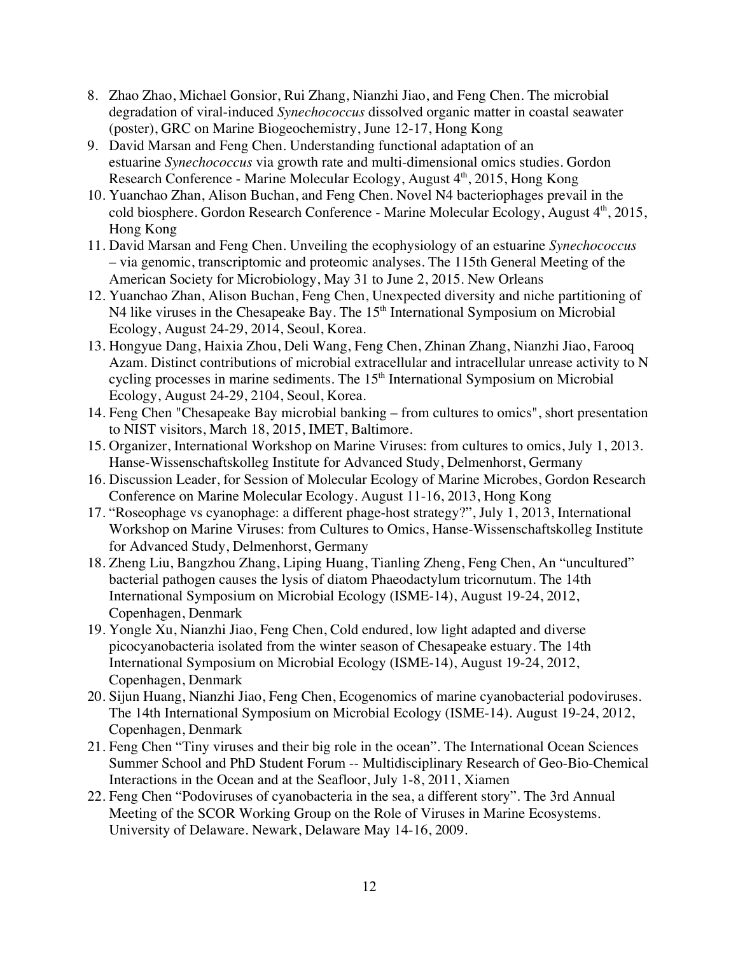- 8. Zhao Zhao, Michael Gonsior, Rui Zhang, Nianzhi Jiao, and Feng Chen. The microbial degradation of viral-induced *Synechococcus* dissolved organic matter in coastal seawater (poster), GRC on Marine Biogeochemistry, June 12-17, Hong Kong
- 9. David Marsan and Feng Chen. Understanding functional adaptation of an estuarine *Synechococcus* via growth rate and multi-dimensional omics studies. Gordon Research Conference - Marine Molecular Ecology, August  $4<sup>th</sup>$ , 2015, Hong Kong
- 10. Yuanchao Zhan, Alison Buchan, and Feng Chen. Novel N4 bacteriophages prevail in the cold biosphere. Gordon Research Conference - Marine Molecular Ecology, August 4<sup>th</sup>, 2015, Hong Kong
- 11. David Marsan and Feng Chen. Unveiling the ecophysiology of an estuarine *Synechococcus* – via genomic, transcriptomic and proteomic analyses. The 115th General Meeting of the American Society for Microbiology, May 31 to June 2, 2015. New Orleans
- 12. Yuanchao Zhan, Alison Buchan, Feng Chen, Unexpected diversity and niche partitioning of  $N4$  like viruses in the Chesapeake Bay. The  $15<sup>th</sup>$  International Symposium on Microbial Ecology, August 24-29, 2014, Seoul, Korea.
- 13. Hongyue Dang, Haixia Zhou, Deli Wang, Feng Chen, Zhinan Zhang, Nianzhi Jiao, Farooq Azam. Distinct contributions of microbial extracellular and intracellular unrease activity to N cycling processes in marine sediments. The  $15<sup>th</sup>$  International Symposium on Microbial Ecology, August 24-29, 2104, Seoul, Korea.
- 14. Feng Chen "Chesapeake Bay microbial banking from cultures to omics", short presentation to NIST visitors, March 18, 2015, IMET, Baltimore.
- 15. Organizer, International Workshop on Marine Viruses: from cultures to omics, July 1, 2013. Hanse-Wissenschaftskolleg Institute for Advanced Study, Delmenhorst, Germany
- 16. Discussion Leader, for Session of Molecular Ecology of Marine Microbes, Gordon Research Conference on Marine Molecular Ecology. August 11-16, 2013, Hong Kong
- 17. "Roseophage vs cyanophage: a different phage-host strategy?", July 1, 2013, International Workshop on Marine Viruses: from Cultures to Omics, Hanse-Wissenschaftskolleg Institute for Advanced Study, Delmenhorst, Germany
- 18. Zheng Liu, Bangzhou Zhang, Liping Huang, Tianling Zheng, Feng Chen, An "uncultured" bacterial pathogen causes the lysis of diatom Phaeodactylum tricornutum. The 14th International Symposium on Microbial Ecology (ISME-14), August 19-24, 2012, Copenhagen, Denmark
- 19. Yongle Xu, Nianzhi Jiao, Feng Chen, Cold endured, low light adapted and diverse picocyanobacteria isolated from the winter season of Chesapeake estuary. The 14th International Symposium on Microbial Ecology (ISME-14), August 19-24, 2012, Copenhagen, Denmark
- 20. Sijun Huang, Nianzhi Jiao, Feng Chen, Ecogenomics of marine cyanobacterial podoviruses. The 14th International Symposium on Microbial Ecology (ISME-14). August 19-24, 2012, Copenhagen, Denmark
- 21. Feng Chen "Tiny viruses and their big role in the ocean". The International Ocean Sciences Summer School and PhD Student Forum -- Multidisciplinary Research of Geo-Bio-Chemical Interactions in the Ocean and at the Seafloor, July 1-8, 2011, Xiamen
- 22. Feng Chen "Podoviruses of cyanobacteria in the sea, a different story". The 3rd Annual Meeting of the SCOR Working Group on the Role of Viruses in Marine Ecosystems. University of Delaware. Newark, Delaware May 14-16, 2009.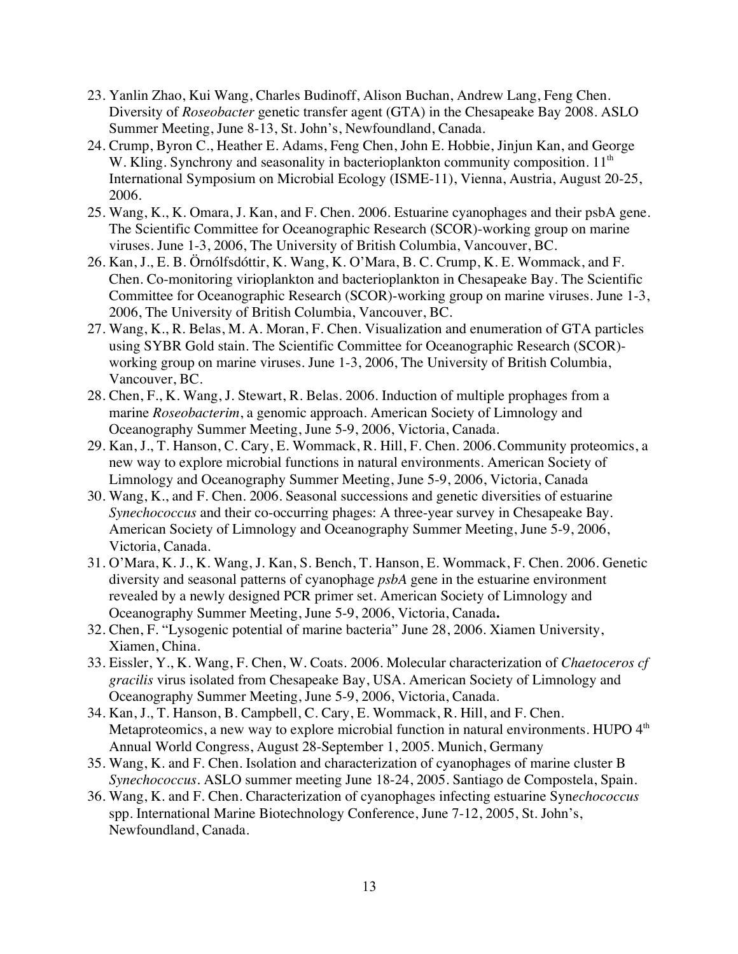- 23. Yanlin Zhao, Kui Wang, Charles Budinoff, Alison Buchan, Andrew Lang, Feng Chen. Diversity of *Roseobacter* genetic transfer agent (GTA) in the Chesapeake Bay 2008. ASLO Summer Meeting, June 8-13, St. John's, Newfoundland, Canada.
- 24. Crump, Byron C., Heather E. Adams, Feng Chen, John E. Hobbie, Jinjun Kan, and George W. Kling. Synchrony and seasonality in bacterioplankton community composition.  $11<sup>th</sup>$ International Symposium on Microbial Ecology (ISME-11), Vienna, Austria, August 20-25, 2006.
- 25. Wang, K., K. Omara, J. Kan, and F. Chen. 2006. Estuarine cyanophages and their psbA gene. The Scientific Committee for Oceanographic Research (SCOR)-working group on marine viruses. June 1-3, 2006, The University of British Columbia, Vancouver, BC.
- 26. Kan, J., E. B. Örnólfsdóttir, K. Wang, K. O'Mara, B. C. Crump, K. E. Wommack, and F. Chen. Co-monitoring virioplankton and bacterioplankton in Chesapeake Bay. The Scientific Committee for Oceanographic Research (SCOR)-working group on marine viruses. June 1-3, 2006, The University of British Columbia, Vancouver, BC.
- 27. Wang, K., R. Belas, M. A. Moran, F. Chen. Visualization and enumeration of GTA particles using SYBR Gold stain. The Scientific Committee for Oceanographic Research (SCOR) working group on marine viruses. June 1-3, 2006, The University of British Columbia, Vancouver, BC.
- 28. Chen, F., K. Wang, J. Stewart, R. Belas. 2006. Induction of multiple prophages from a marine *Roseobacterim*, a genomic approach. American Society of Limnology and Oceanography Summer Meeting, June 5-9, 2006, Victoria, Canada.
- 29. Kan, J., T. Hanson, C. Cary, E. Wommack, R. Hill, F. Chen. 2006.Community proteomics, a new way to explore microbial functions in natural environments. American Society of Limnology and Oceanography Summer Meeting, June 5-9, 2006, Victoria, Canada
- 30. Wang, K., and F. Chen. 2006. Seasonal successions and genetic diversities of estuarine *Synechococcus* and their co-occurring phages: A three-year survey in Chesapeake Bay. American Society of Limnology and Oceanography Summer Meeting, June 5-9, 2006, Victoria, Canada.
- 31. O'Mara, K. J., K. Wang, J. Kan, S. Bench, T. Hanson, E. Wommack, F. Chen. 2006. Genetic diversity and seasonal patterns of cyanophage *psbA* gene in the estuarine environment revealed by a newly designed PCR primer set. American Society of Limnology and Oceanography Summer Meeting, June 5-9, 2006, Victoria, Canada**.**
- 32. Chen, F. "Lysogenic potential of marine bacteria" June 28, 2006. Xiamen University, Xiamen, China.
- 33. Eissler, Y., K. Wang, F. Chen, W. Coats. 2006. Molecular characterization of *Chaetoceros cf gracilis* virus isolated from Chesapeake Bay, USA. American Society of Limnology and Oceanography Summer Meeting, June 5-9, 2006, Victoria, Canada.
- 34. Kan, J., T. Hanson, B. Campbell, C. Cary, E. Wommack, R. Hill, and F. Chen. Metaproteomics, a new way to explore microbial function in natural environments. HUPO 4<sup>th</sup> Annual World Congress, August 28-September 1, 2005. Munich, Germany
- 35. Wang, K. and F. Chen. Isolation and characterization of cyanophages of marine cluster B *Synechococcus*. ASLO summer meeting June 18-24, 2005. Santiago de Compostela, Spain.
- 36. Wang, K. and F. Chen. Characterization of cyanophages infecting estuarine Syn*echococcus*  spp. International Marine Biotechnology Conference, June 7-12, 2005, St. John's, Newfoundland, Canada.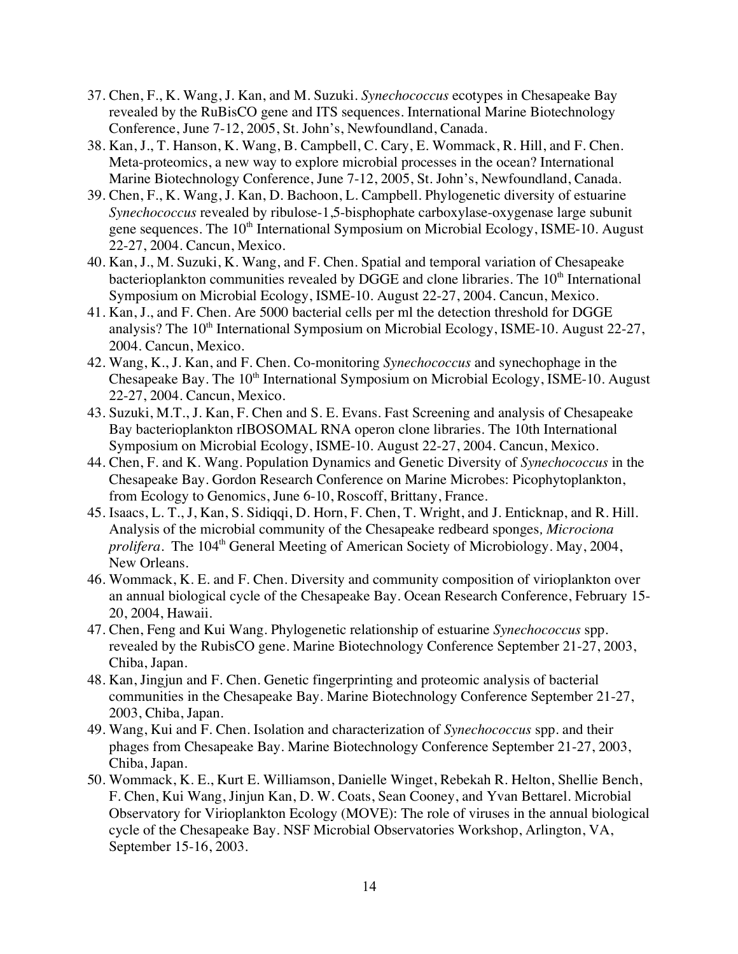- 37. Chen, F., K. Wang, J. Kan, and M. Suzuki. *Synechococcus* ecotypes in Chesapeake Bay revealed by the RuBisCO gene and ITS sequences. International Marine Biotechnology Conference, June 7-12, 2005, St. John's, Newfoundland, Canada.
- 38. Kan, J., T. Hanson, K. Wang, B. Campbell, C. Cary, E. Wommack, R. Hill, and F. Chen. Meta-proteomics, a new way to explore microbial processes in the ocean? International Marine Biotechnology Conference, June 7-12, 2005, St. John's, Newfoundland, Canada.
- 39. Chen, F., K. Wang, J. Kan, D. Bachoon, L. Campbell. Phylogenetic diversity of estuarine *Synechococcus* revealed by ribulose-1,5-bisphophate carboxylase-oxygenase large subunit gene sequences. The 10<sup>th</sup> International Symposium on Microbial Ecology, ISME-10. August 22-27, 2004. Cancun, Mexico.
- 40. Kan, J., M. Suzuki, K. Wang, and F. Chen. Spatial and temporal variation of Chesapeake bacterioplankton communities revealed by DGGE and clone libraries. The  $10<sup>th</sup>$  International Symposium on Microbial Ecology, ISME-10. August 22-27, 2004. Cancun, Mexico.
- 41. Kan, J., and F. Chen. Are 5000 bacterial cells per ml the detection threshold for DGGE analysis? The  $10<sup>th</sup>$  International Symposium on Microbial Ecology, ISME-10. August 22-27, 2004. Cancun, Mexico.
- 42. Wang, K., J. Kan, and F. Chen. Co-monitoring *Synechococcus* and synechophage in the Chesapeake Bay. The  $10<sup>th</sup>$  International Symposium on Microbial Ecology, ISME-10. August 22-27, 2004. Cancun, Mexico.
- 43. Suzuki, M.T., J. Kan, F. Chen and S. E. Evans. Fast Screening and analysis of Chesapeake Bay bacterioplankton rIBOSOMAL RNA operon clone libraries. The 10th International Symposium on Microbial Ecology, ISME-10. August 22-27, 2004. Cancun, Mexico.
- 44. Chen, F. and K. Wang. Population Dynamics and Genetic Diversity of *Synechococcus* in the Chesapeake Bay. Gordon Research Conference on Marine Microbes: Picophytoplankton, from Ecology to Genomics, June 6-10, Roscoff, Brittany, France.
- 45. Isaacs, L. T., J, Kan, S. Sidiqqi, D. Horn, F. Chen, T. Wright, and J. Enticknap, and R. Hill. Analysis of the microbial community of the Chesapeake redbeard sponges*, Microciona prolifera*. The 104<sup>th</sup> General Meeting of American Society of Microbiology. May, 2004, New Orleans.
- 46. Wommack, K. E. and F. Chen. Diversity and community composition of virioplankton over an annual biological cycle of the Chesapeake Bay. Ocean Research Conference, February 15- 20, 2004, Hawaii.
- 47. Chen, Feng and Kui Wang. Phylogenetic relationship of estuarine *Synechococcus* spp. revealed by the RubisCO gene. Marine Biotechnology Conference September 21-27, 2003, Chiba, Japan.
- 48. Kan, Jingjun and F. Chen. Genetic fingerprinting and proteomic analysis of bacterial communities in the Chesapeake Bay. Marine Biotechnology Conference September 21-27, 2003, Chiba, Japan.
- 49. Wang, Kui and F. Chen. Isolation and characterization of *Synechococcus* spp. and their phages from Chesapeake Bay. Marine Biotechnology Conference September 21-27, 2003, Chiba, Japan.
- 50. Wommack, K. E., Kurt E. Williamson, Danielle Winget, Rebekah R. Helton, Shellie Bench, F. Chen, Kui Wang, Jinjun Kan, D. W. Coats, Sean Cooney, and Yvan Bettarel. Microbial Observatory for Virioplankton Ecology (MOVE): The role of viruses in the annual biological cycle of the Chesapeake Bay. NSF Microbial Observatories Workshop, Arlington, VA, September 15-16, 2003.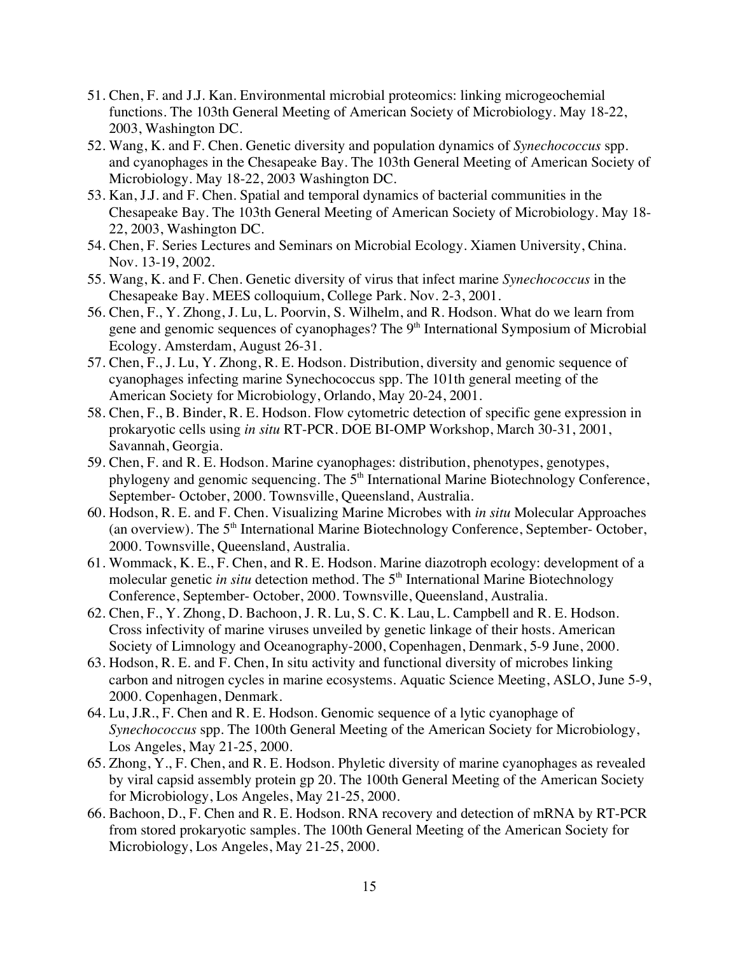- 51. Chen, F. and J.J. Kan. Environmental microbial proteomics: linking microgeochemial functions. The 103th General Meeting of American Society of Microbiology. May 18-22, 2003, Washington DC.
- 52. Wang, K. and F. Chen. Genetic diversity and population dynamics of *Synechococcus* spp. and cyanophages in the Chesapeake Bay. The 103th General Meeting of American Society of Microbiology. May 18-22, 2003 Washington DC.
- 53. Kan, J.J. and F. Chen. Spatial and temporal dynamics of bacterial communities in the Chesapeake Bay. The 103th General Meeting of American Society of Microbiology. May 18- 22, 2003, Washington DC.
- 54. Chen, F. Series Lectures and Seminars on Microbial Ecology. Xiamen University, China. Nov. 13-19, 2002.
- 55. Wang, K. and F. Chen. Genetic diversity of virus that infect marine *Synechococcus* in the Chesapeake Bay. MEES colloquium, College Park. Nov. 2-3, 2001.
- 56. Chen, F., Y. Zhong, J. Lu, L. Poorvin, S. Wilhelm, and R. Hodson. What do we learn from gene and genomic sequences of cyanophages? The  $9<sup>th</sup>$  International Symposium of Microbial Ecology. Amsterdam, August 26-31.
- 57. Chen, F., J. Lu, Y. Zhong, R. E. Hodson. Distribution, diversity and genomic sequence of cyanophages infecting marine Synechococcus spp. The 101th general meeting of the American Society for Microbiology, Orlando, May 20-24, 2001.
- 58. Chen, F., B. Binder, R. E. Hodson. Flow cytometric detection of specific gene expression in prokaryotic cells using *in situ* RT-PCR. DOE BI-OMP Workshop, March 30-31, 2001, Savannah, Georgia.
- 59. Chen, F. and R. E. Hodson. Marine cyanophages: distribution, phenotypes, genotypes, phylogeny and genomic sequencing. The  $5<sup>th</sup>$  International Marine Biotechnology Conference, September- October, 2000. Townsville, Queensland, Australia.
- 60. Hodson, R. E. and F. Chen. Visualizing Marine Microbes with *in situ* Molecular Approaches (an overview). The 5<sup>th</sup> International Marine Biotechnology Conference, September- October, 2000. Townsville, Queensland, Australia.
- 61. Wommack, K. E., F. Chen, and R. E. Hodson. Marine diazotroph ecology: development of a molecular genetic *in situ* detection method. The 5<sup>th</sup> International Marine Biotechnology Conference, September- October, 2000. Townsville, Queensland, Australia.
- 62. Chen, F., Y. Zhong, D. Bachoon, J. R. Lu, S. C. K. Lau, L. Campbell and R. E. Hodson. Cross infectivity of marine viruses unveiled by genetic linkage of their hosts. American Society of Limnology and Oceanography-2000, Copenhagen, Denmark, 5-9 June, 2000.
- 63. Hodson, R. E. and F. Chen, In situ activity and functional diversity of microbes linking carbon and nitrogen cycles in marine ecosystems. Aquatic Science Meeting, ASLO, June 5-9, 2000. Copenhagen, Denmark.
- 64. Lu, J.R., F. Chen and R. E. Hodson. Genomic sequence of a lytic cyanophage of *Synechococcus* spp. The 100th General Meeting of the American Society for Microbiology, Los Angeles, May 21-25, 2000.
- 65. Zhong, Y., F. Chen, and R. E. Hodson. Phyletic diversity of marine cyanophages as revealed by viral capsid assembly protein gp 20. The 100th General Meeting of the American Society for Microbiology, Los Angeles, May 21-25, 2000.
- 66. Bachoon, D., F. Chen and R. E. Hodson. RNA recovery and detection of mRNA by RT-PCR from stored prokaryotic samples. The 100th General Meeting of the American Society for Microbiology, Los Angeles, May 21-25, 2000.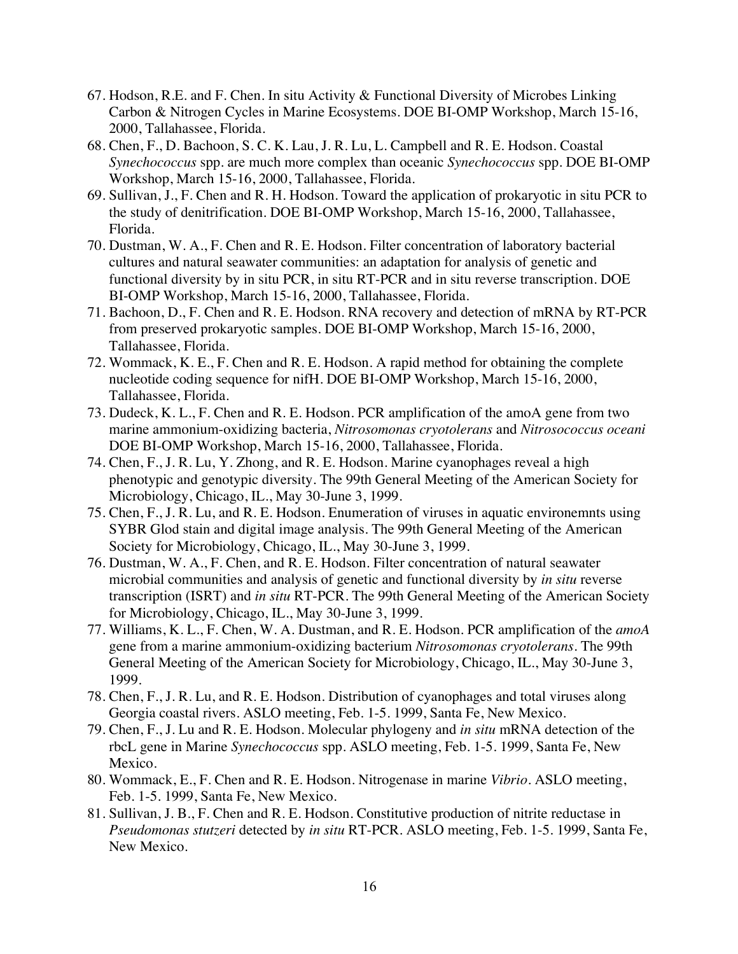- 67. Hodson, R.E. and F. Chen. In situ Activity & Functional Diversity of Microbes Linking Carbon & Nitrogen Cycles in Marine Ecosystems. DOE BI-OMP Workshop, March 15-16, 2000, Tallahassee, Florida.
- 68. Chen, F., D. Bachoon, S. C. K. Lau, J. R. Lu, L. Campbell and R. E. Hodson. Coastal *Synechococcus* spp. are much more complex than oceanic *Synechococcus* spp. DOE BI-OMP Workshop, March 15-16, 2000, Tallahassee, Florida.
- 69. Sullivan, J., F. Chen and R. H. Hodson. Toward the application of prokaryotic in situ PCR to the study of denitrification. DOE BI-OMP Workshop, March 15-16, 2000, Tallahassee, Florida.
- 70. Dustman, W. A., F. Chen and R. E. Hodson. Filter concentration of laboratory bacterial cultures and natural seawater communities: an adaptation for analysis of genetic and functional diversity by in situ PCR, in situ RT-PCR and in situ reverse transcription. DOE BI-OMP Workshop, March 15-16, 2000, Tallahassee, Florida.
- 71. Bachoon, D., F. Chen and R. E. Hodson. RNA recovery and detection of mRNA by RT-PCR from preserved prokaryotic samples. DOE BI-OMP Workshop, March 15-16, 2000, Tallahassee, Florida.
- 72. Wommack, K. E., F. Chen and R. E. Hodson. A rapid method for obtaining the complete nucleotide coding sequence for nifH. DOE BI-OMP Workshop, March 15-16, 2000, Tallahassee, Florida.
- 73. Dudeck, K. L., F. Chen and R. E. Hodson. PCR amplification of the amoA gene from two marine ammonium-oxidizing bacteria, *Nitrosomonas cryotolerans* and *Nitrosococcus oceani*  DOE BI-OMP Workshop, March 15-16, 2000, Tallahassee, Florida.
- 74. Chen, F., J. R. Lu, Y. Zhong, and R. E. Hodson. Marine cyanophages reveal a high phenotypic and genotypic diversity. The 99th General Meeting of the American Society for Microbiology, Chicago, IL., May 30-June 3, 1999.
- 75. Chen, F., J. R. Lu, and R. E. Hodson. Enumeration of viruses in aquatic environemnts using SYBR Glod stain and digital image analysis. The 99th General Meeting of the American Society for Microbiology, Chicago, IL., May 30-June 3, 1999.
- 76. Dustman, W. A., F. Chen, and R. E. Hodson. Filter concentration of natural seawater microbial communities and analysis of genetic and functional diversity by *in situ* reverse transcription (ISRT) and *in situ* RT-PCR. The 99th General Meeting of the American Society for Microbiology, Chicago, IL., May 30-June 3, 1999.
- 77. Williams, K. L., F. Chen, W. A. Dustman, and R. E. Hodson. PCR amplification of the *amoA* gene from a marine ammonium-oxidizing bacterium *Nitrosomonas cryotolerans*. The 99th General Meeting of the American Society for Microbiology, Chicago, IL., May 30-June 3, 1999.
- 78. Chen, F., J. R. Lu, and R. E. Hodson. Distribution of cyanophages and total viruses along Georgia coastal rivers. ASLO meeting, Feb. 1-5. 1999, Santa Fe, New Mexico.
- 79. Chen, F., J. Lu and R. E. Hodson. Molecular phylogeny and *in situ* mRNA detection of the rbcL gene in Marine *Synechococcus* spp. ASLO meeting, Feb. 1-5. 1999, Santa Fe, New Mexico.
- 80. Wommack, E., F. Chen and R. E. Hodson. Nitrogenase in marine *Vibrio*. ASLO meeting, Feb. 1-5. 1999, Santa Fe, New Mexico.
- 81. Sullivan, J. B., F. Chen and R. E. Hodson. Constitutive production of nitrite reductase in *Pseudomonas stutzeri* detected by *in situ* RT-PCR. ASLO meeting, Feb. 1-5. 1999, Santa Fe, New Mexico.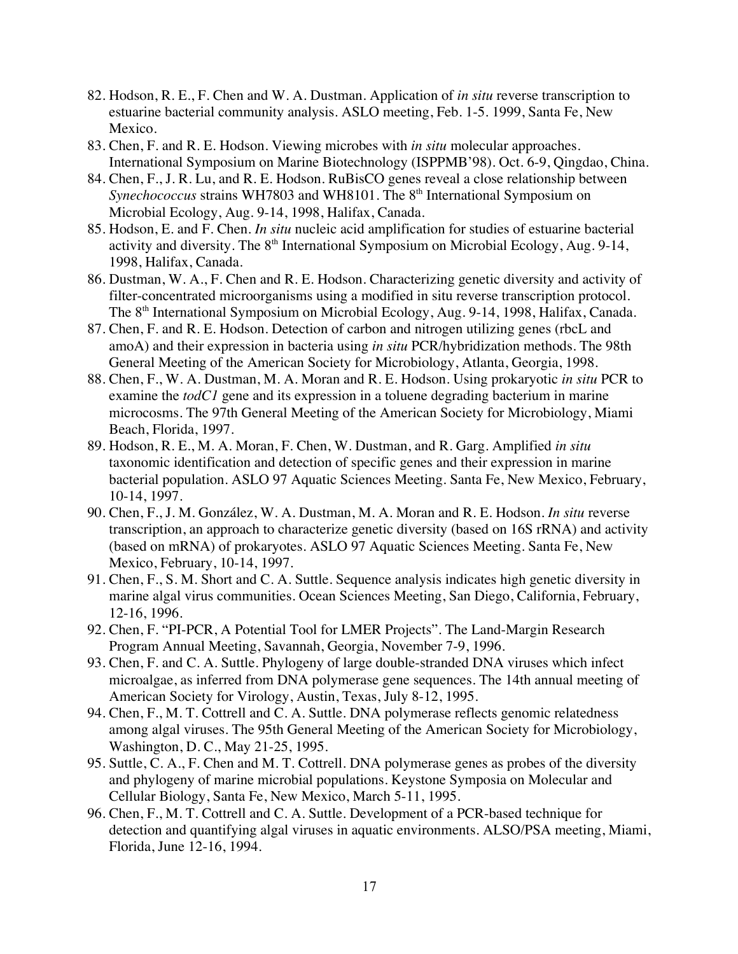- 82. Hodson, R. E., F. Chen and W. A. Dustman. Application of *in situ* reverse transcription to estuarine bacterial community analysis. ASLO meeting, Feb. 1-5. 1999, Santa Fe, New Mexico.
- 83. Chen, F. and R. E. Hodson. Viewing microbes with *in situ* molecular approaches. International Symposium on Marine Biotechnology (ISPPMB'98). Oct. 6-9, Qingdao, China.
- 84. Chen, F., J. R. Lu, and R. E. Hodson. RuBisCO genes reveal a close relationship between *Synechococcus* strains WH7803 and WH8101. The 8<sup>th</sup> International Symposium on Microbial Ecology, Aug. 9-14, 1998, Halifax, Canada.
- 85. Hodson, E. and F. Chen. *In situ* nucleic acid amplification for studies of estuarine bacterial activity and diversity. The  $8<sup>th</sup>$  International Symposium on Microbial Ecology, Aug. 9-14, 1998, Halifax, Canada.
- 86. Dustman, W. A., F. Chen and R. E. Hodson. Characterizing genetic diversity and activity of filter-concentrated microorganisms using a modified in situ reverse transcription protocol. The 8<sup>th</sup> International Symposium on Microbial Ecology, Aug. 9-14, 1998, Halifax, Canada.
- 87. Chen, F. and R. E. Hodson. Detection of carbon and nitrogen utilizing genes (rbcL and amoA) and their expression in bacteria using *in situ* PCR/hybridization methods. The 98th General Meeting of the American Society for Microbiology, Atlanta, Georgia, 1998.
- 88. Chen, F., W. A. Dustman, M. A. Moran and R. E. Hodson. Using prokaryotic *in situ* PCR to examine the *todC1* gene and its expression in a toluene degrading bacterium in marine microcosms. The 97th General Meeting of the American Society for Microbiology, Miami Beach, Florida, 1997.
- 89. Hodson, R. E., M. A. Moran, F. Chen, W. Dustman, and R. Garg. Amplified *in situ* taxonomic identification and detection of specific genes and their expression in marine bacterial population. ASLO 97 Aquatic Sciences Meeting. Santa Fe, New Mexico, February, 10-14, 1997.
- 90. Chen, F., J. M. González, W. A. Dustman, M. A. Moran and R. E. Hodson. *In situ* reverse transcription, an approach to characterize genetic diversity (based on 16S rRNA) and activity (based on mRNA) of prokaryotes. ASLO 97 Aquatic Sciences Meeting. Santa Fe, New Mexico, February, 10-14, 1997.
- 91. Chen, F., S. M. Short and C. A. Suttle. Sequence analysis indicates high genetic diversity in marine algal virus communities. Ocean Sciences Meeting, San Diego, California, February, 12-16, 1996.
- 92. Chen, F. "PI-PCR, A Potential Tool for LMER Projects". The Land-Margin Research Program Annual Meeting, Savannah, Georgia, November 7-9, 1996.
- 93. Chen, F. and C. A. Suttle. Phylogeny of large double-stranded DNA viruses which infect microalgae, as inferred from DNA polymerase gene sequences. The 14th annual meeting of American Society for Virology, Austin, Texas, July 8-12, 1995.
- 94. Chen, F., M. T. Cottrell and C. A. Suttle. DNA polymerase reflects genomic relatedness among algal viruses. The 95th General Meeting of the American Society for Microbiology, Washington, D. C., May 21-25, 1995.
- 95. Suttle, C. A., F. Chen and M. T. Cottrell. DNA polymerase genes as probes of the diversity and phylogeny of marine microbial populations. Keystone Symposia on Molecular and Cellular Biology, Santa Fe, New Mexico, March 5-11, 1995.
- 96. Chen, F., M. T. Cottrell and C. A. Suttle. Development of a PCR-based technique for detection and quantifying algal viruses in aquatic environments. ALSO/PSA meeting, Miami, Florida, June 12-16, 1994.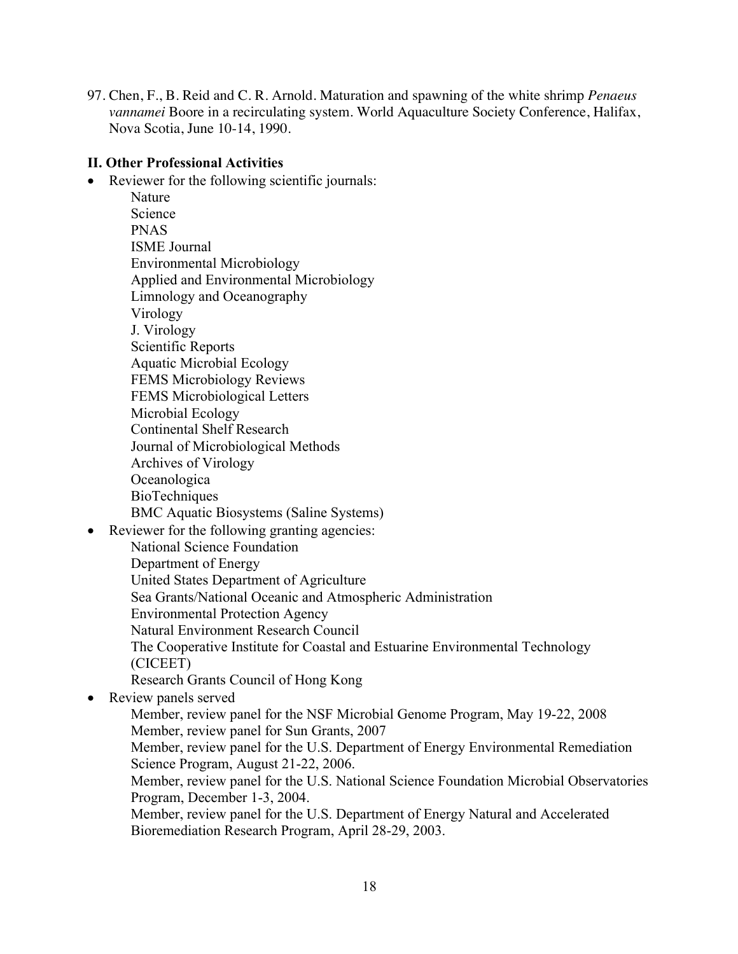97. Chen, F., B. Reid and C. R. Arnold. Maturation and spawning of the white shrimp *Penaeus vannamei* Boore in a recirculating system. World Aquaculture Society Conference, Halifax, Nova Scotia, June 10-14, 1990.

#### **II. Other Professional Activities**

• Reviewer for the following scientific journals:

|           | reviewer for the following selemme journals.                                 |
|-----------|------------------------------------------------------------------------------|
|           | Nature                                                                       |
|           | Science                                                                      |
|           | <b>PNAS</b>                                                                  |
|           | <b>ISME</b> Journal                                                          |
|           | <b>Environmental Microbiology</b>                                            |
|           | Applied and Environmental Microbiology                                       |
|           | Limnology and Oceanography                                                   |
|           | Virology                                                                     |
|           | J. Virology                                                                  |
|           | Scientific Reports                                                           |
|           | <b>Aquatic Microbial Ecology</b>                                             |
|           | <b>FEMS Microbiology Reviews</b>                                             |
|           | FEMS Microbiological Letters                                                 |
|           | Microbial Ecology                                                            |
|           | <b>Continental Shelf Research</b>                                            |
|           | Journal of Microbiological Methods                                           |
|           | Archives of Virology                                                         |
|           | Oceanologica                                                                 |
|           | BioTechniques                                                                |
|           | <b>BMC</b> Aquatic Biosystems (Saline Systems)                               |
| $\bullet$ | Reviewer for the following granting agencies:                                |
|           | National Science Foundation                                                  |
|           | Department of Energy                                                         |
|           | United States Department of Agriculture                                      |
|           | Sea Grants/National Oceanic and Atmospheric Administration                   |
|           | <b>Environmental Protection Agency</b>                                       |
|           | Natural Environment Research Council                                         |
|           | The Cooperative Institute for Coastal and Estuarine Environmental Technology |
|           | (CICEET)                                                                     |
|           | Research Grants Council of Hong Kong                                         |
| $\bullet$ | Review panels served                                                         |
|           | Member, review panel for the NSF Microbial Genome Program, May 19-22, 200    |

ber, review panel for the NSF Microbial Genome Program, May 19-22, 2008 Member, review panel for Sun Grants, 2007 Member, review panel for the U.S. Department of Energy Environmental Remediation Science Program, August 21-22, 2006. Member, review panel for the U.S. National Science Foundation Microbial Observatories Program, December 1-3, 2004.

Member, review panel for the U.S. Department of Energy Natural and Accelerated Bioremediation Research Program, April 28-29, 2003.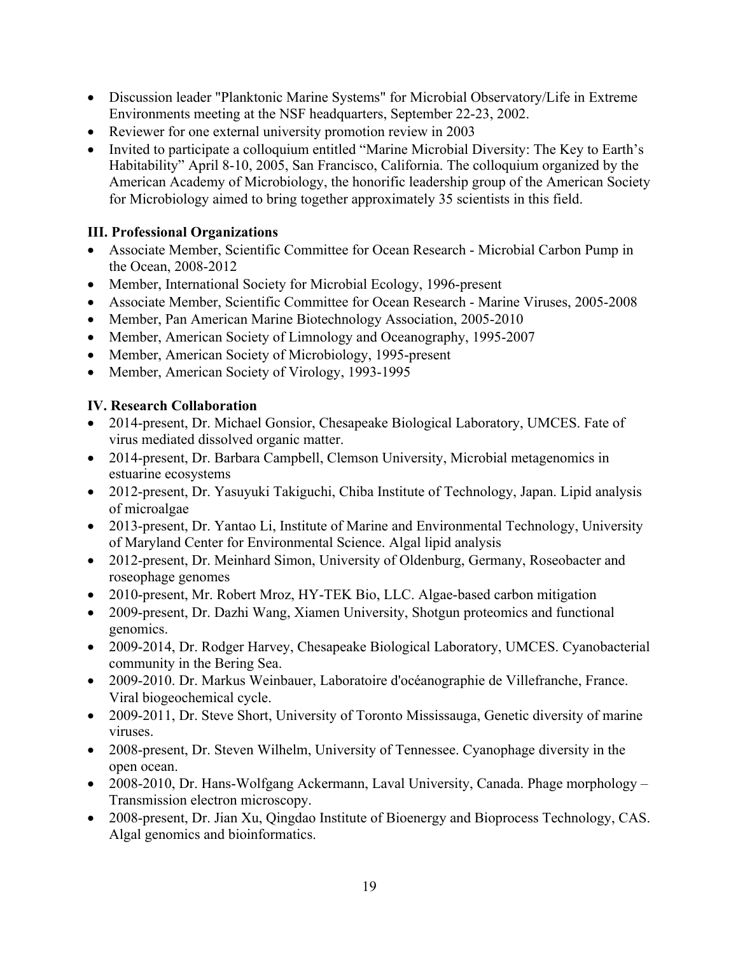- Discussion leader "Planktonic Marine Systems" for Microbial Observatory/Life in Extreme Environments meeting at the NSF headquarters, September 22-23, 2002.
- Reviewer for one external university promotion review in 2003
- Invited to participate a colloquium entitled "Marine Microbial Diversity: The Key to Earth's Habitability" April 8-10, 2005, San Francisco, California. The colloquium organized by the American Academy of Microbiology, the honorific leadership group of the American Society for Microbiology aimed to bring together approximately 35 scientists in this field.

### **III. Professional Organizations**

- Associate Member, Scientific Committee for Ocean Research Microbial Carbon Pump in the Ocean, 2008-2012
- Member, International Society for Microbial Ecology, 1996-present
- Associate Member, Scientific Committee for Ocean Research Marine Viruses, 2005-2008
- Member, Pan American Marine Biotechnology Association, 2005-2010
- Member, American Society of Limnology and Oceanography, 1995-2007
- Member, American Society of Microbiology, 1995-present
- Member, American Society of Virology, 1993-1995

### **IV. Research Collaboration**

- 2014-present, Dr. Michael Gonsior, Chesapeake Biological Laboratory, UMCES. Fate of virus mediated dissolved organic matter.
- 2014-present, Dr. Barbara Campbell, Clemson University, Microbial metagenomics in estuarine ecosystems
- 2012-present, Dr. Yasuyuki Takiguchi, Chiba Institute of Technology, Japan. Lipid analysis of microalgae
- 2013-present, Dr. Yantao Li, Institute of Marine and Environmental Technology, University of Maryland Center for Environmental Science. Algal lipid analysis
- 2012-present, Dr. Meinhard Simon, University of Oldenburg, Germany, Roseobacter and roseophage genomes
- 2010-present, Mr. Robert Mroz, HY-TEK Bio, LLC. Algae-based carbon mitigation
- 2009-present, Dr. Dazhi Wang, Xiamen University, Shotgun proteomics and functional genomics.
- 2009-2014, Dr. Rodger Harvey, Chesapeake Biological Laboratory, UMCES. Cyanobacterial community in the Bering Sea.
- 2009-2010. Dr. Markus Weinbauer, Laboratoire d'océanographie de Villefranche, France. Viral biogeochemical cycle.
- 2009-2011, Dr. Steve Short, University of Toronto Mississauga, Genetic diversity of marine viruses.
- 2008-present, Dr. Steven Wilhelm, University of Tennessee. Cyanophage diversity in the open ocean.
- 2008-2010, Dr. Hans-Wolfgang Ackermann, Laval University, Canada. Phage morphology Transmission electron microscopy.
- 2008-present, Dr. Jian Xu, Qingdao Institute of Bioenergy and Bioprocess Technology, CAS. Algal genomics and bioinformatics.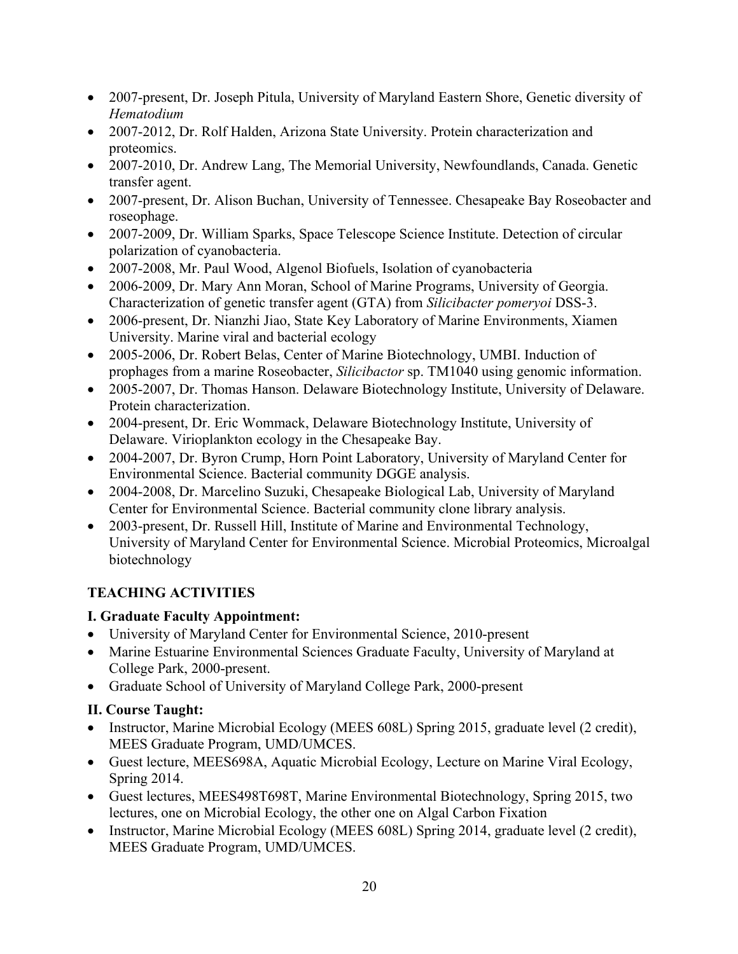- 2007-present, Dr. Joseph Pitula, University of Maryland Eastern Shore, Genetic diversity of *Hematodium*
- 2007-2012, Dr. Rolf Halden, Arizona State University. Protein characterization and proteomics.
- 2007-2010, Dr. Andrew Lang, The Memorial University, Newfoundlands, Canada. Genetic transfer agent.
- 2007-present, Dr. Alison Buchan, University of Tennessee. Chesapeake Bay Roseobacter and roseophage.
- 2007-2009, Dr. William Sparks, Space Telescope Science Institute. Detection of circular polarization of cyanobacteria.
- 2007-2008, Mr. Paul Wood, Algenol Biofuels, Isolation of cyanobacteria
- 2006-2009, Dr. Mary Ann Moran, School of Marine Programs, University of Georgia. Characterization of genetic transfer agent (GTA) from *Silicibacter pomeryoi* DSS-3.
- 2006-present, Dr. Nianzhi Jiao, State Key Laboratory of Marine Environments, Xiamen University. Marine viral and bacterial ecology
- 2005-2006, Dr. Robert Belas, Center of Marine Biotechnology, UMBI. Induction of prophages from a marine Roseobacter, *Silicibactor* sp. TM1040 using genomic information.
- 2005-2007, Dr. Thomas Hanson. Delaware Biotechnology Institute, University of Delaware. Protein characterization.
- 2004-present, Dr. Eric Wommack, Delaware Biotechnology Institute, University of Delaware. Virioplankton ecology in the Chesapeake Bay.
- 2004-2007, Dr. Byron Crump, Horn Point Laboratory, University of Maryland Center for Environmental Science. Bacterial community DGGE analysis.
- 2004-2008, Dr. Marcelino Suzuki, Chesapeake Biological Lab, University of Maryland Center for Environmental Science. Bacterial community clone library analysis.
- 2003-present, Dr. Russell Hill, Institute of Marine and Environmental Technology, University of Maryland Center for Environmental Science. Microbial Proteomics, Microalgal biotechnology

# **TEACHING ACTIVITIES**

# **I. Graduate Faculty Appointment:**

- University of Maryland Center for Environmental Science, 2010-present
- Marine Estuarine Environmental Sciences Graduate Faculty, University of Maryland at College Park, 2000-present.
- Graduate School of University of Maryland College Park, 2000-present

# **II. Course Taught:**

- Instructor, Marine Microbial Ecology (MEES 608L) Spring 2015, graduate level (2 credit), MEES Graduate Program, UMD/UMCES.
- Guest lecture, MEES698A, Aquatic Microbial Ecology, Lecture on Marine Viral Ecology, Spring 2014.
- Guest lectures, MEES498T698T, Marine Environmental Biotechnology, Spring 2015, two lectures, one on Microbial Ecology, the other one on Algal Carbon Fixation
- Instructor, Marine Microbial Ecology (MEES 608L) Spring 2014, graduate level (2 credit), MEES Graduate Program, UMD/UMCES.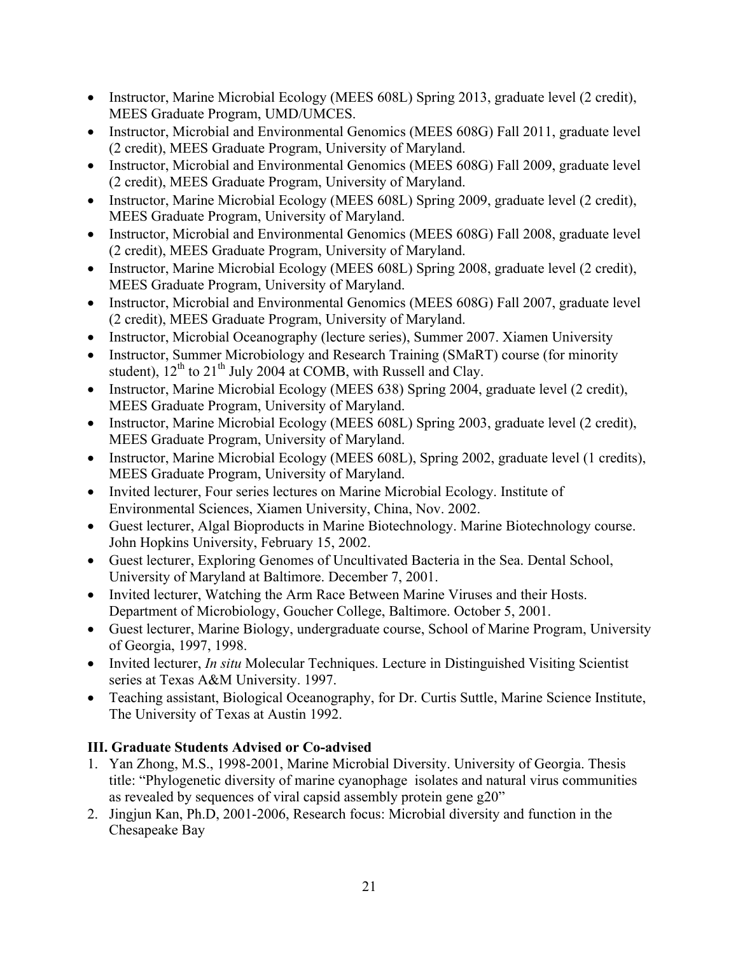- Instructor, Marine Microbial Ecology (MEES 608L) Spring 2013, graduate level (2 credit), MEES Graduate Program, UMD/UMCES.
- Instructor, Microbial and Environmental Genomics (MEES 608G) Fall 2011, graduate level (2 credit), MEES Graduate Program, University of Maryland.
- Instructor, Microbial and Environmental Genomics (MEES 608G) Fall 2009, graduate level (2 credit), MEES Graduate Program, University of Maryland.
- Instructor, Marine Microbial Ecology (MEES 608L) Spring 2009, graduate level (2 credit), MEES Graduate Program, University of Maryland.
- Instructor, Microbial and Environmental Genomics (MEES 608G) Fall 2008, graduate level (2 credit), MEES Graduate Program, University of Maryland.
- Instructor, Marine Microbial Ecology (MEES 608L) Spring 2008, graduate level (2 credit), MEES Graduate Program, University of Maryland.
- Instructor, Microbial and Environmental Genomics (MEES 608G) Fall 2007, graduate level (2 credit), MEES Graduate Program, University of Maryland.
- Instructor, Microbial Oceanography (lecture series), Summer 2007. Xiamen University
- Instructor, Summer Microbiology and Research Training (SMaRT) course (for minority student),  $12^{th}$  to  $21^{th}$  July 2004 at COMB, with Russell and Clay.
- Instructor, Marine Microbial Ecology (MEES 638) Spring 2004, graduate level (2 credit), MEES Graduate Program, University of Maryland.
- Instructor, Marine Microbial Ecology (MEES 608L) Spring 2003, graduate level (2 credit), MEES Graduate Program, University of Maryland.
- Instructor, Marine Microbial Ecology (MEES 608L), Spring 2002, graduate level (1 credits), MEES Graduate Program, University of Maryland.
- Invited lecturer, Four series lectures on Marine Microbial Ecology. Institute of Environmental Sciences, Xiamen University, China, Nov. 2002.
- Guest lecturer, Algal Bioproducts in Marine Biotechnology. Marine Biotechnology course. John Hopkins University, February 15, 2002.
- Guest lecturer, Exploring Genomes of Uncultivated Bacteria in the Sea. Dental School, University of Maryland at Baltimore. December 7, 2001.
- Invited lecturer, Watching the Arm Race Between Marine Viruses and their Hosts. Department of Microbiology, Goucher College, Baltimore. October 5, 2001.
- Guest lecturer, Marine Biology, undergraduate course, School of Marine Program, University of Georgia, 1997, 1998.
- Invited lecturer, *In situ* Molecular Techniques. Lecture in Distinguished Visiting Scientist series at Texas A&M University. 1997.
- Teaching assistant, Biological Oceanography, for Dr. Curtis Suttle, Marine Science Institute, The University of Texas at Austin 1992.

# **III. Graduate Students Advised or Co-advised**

- 1. Yan Zhong, M.S., 1998-2001, Marine Microbial Diversity. University of Georgia. Thesis title: "Phylogenetic diversity of marine cyanophage isolates and natural virus communities as revealed by sequences of viral capsid assembly protein gene g20"
- 2. Jingjun Kan, Ph.D, 2001-2006, Research focus: Microbial diversity and function in the Chesapeake Bay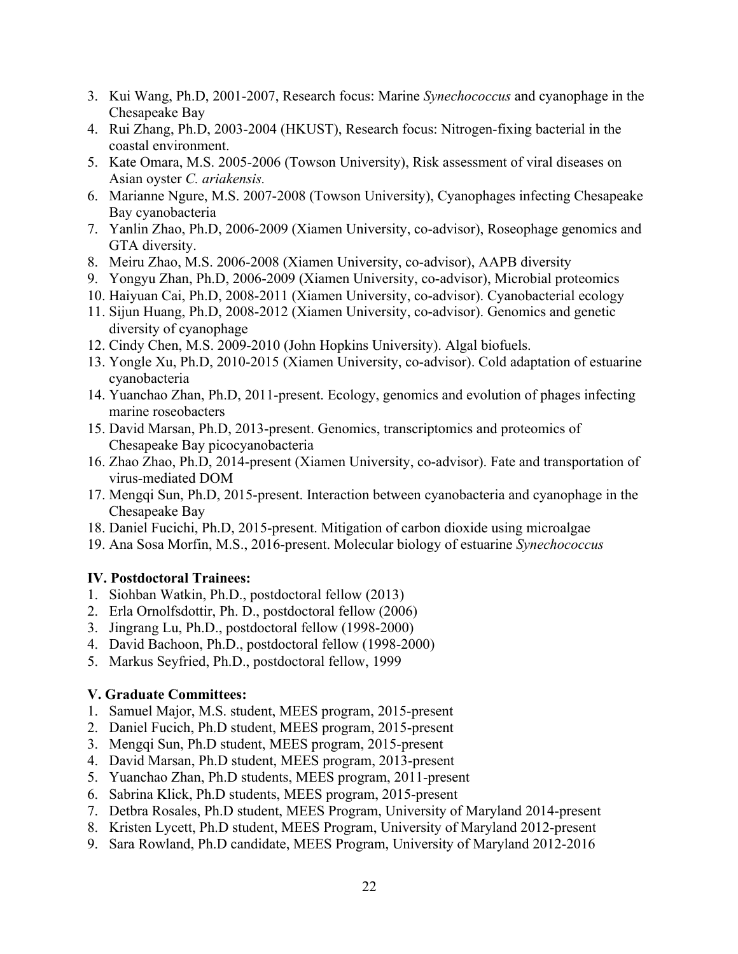- 3. Kui Wang, Ph.D, 2001-2007, Research focus: Marine *Synechococcus* and cyanophage in the Chesapeake Bay
- 4. Rui Zhang, Ph.D, 2003-2004 (HKUST), Research focus: Nitrogen-fixing bacterial in the coastal environment.
- 5. Kate Omara, M.S. 2005-2006 (Towson University), Risk assessment of viral diseases on Asian oyster *C. ariakensis.*
- 6. Marianne Ngure, M.S. 2007-2008 (Towson University), Cyanophages infecting Chesapeake Bay cyanobacteria
- 7. Yanlin Zhao, Ph.D, 2006-2009 (Xiamen University, co-advisor), Roseophage genomics and GTA diversity.
- 8. Meiru Zhao, M.S. 2006-2008 (Xiamen University, co-advisor), AAPB diversity
- 9. Yongyu Zhan, Ph.D, 2006-2009 (Xiamen University, co-advisor), Microbial proteomics
- 10. Haiyuan Cai, Ph.D, 2008-2011 (Xiamen University, co-advisor). Cyanobacterial ecology
- 11. Sijun Huang, Ph.D, 2008-2012 (Xiamen University, co-advisor). Genomics and genetic diversity of cyanophage
- 12. Cindy Chen, M.S. 2009-2010 (John Hopkins University). Algal biofuels.
- 13. Yongle Xu, Ph.D, 2010-2015 (Xiamen University, co-advisor). Cold adaptation of estuarine cyanobacteria
- 14. Yuanchao Zhan, Ph.D, 2011-present. Ecology, genomics and evolution of phages infecting marine roseobacters
- 15. David Marsan, Ph.D, 2013-present. Genomics, transcriptomics and proteomics of Chesapeake Bay picocyanobacteria
- 16. Zhao Zhao, Ph.D, 2014-present (Xiamen University, co-advisor). Fate and transportation of virus-mediated DOM
- 17. Mengqi Sun, Ph.D, 2015-present. Interaction between cyanobacteria and cyanophage in the Chesapeake Bay
- 18. Daniel Fucichi, Ph.D, 2015-present. Mitigation of carbon dioxide using microalgae
- 19. Ana Sosa Morfin, M.S., 2016-present. Molecular biology of estuarine *Synechococcus*

#### **IV. Postdoctoral Trainees:**

- 1. Siohban Watkin, Ph.D., postdoctoral fellow (2013)
- 2. Erla Ornolfsdottir, Ph. D., postdoctoral fellow (2006)
- 3. Jingrang Lu, Ph.D., postdoctoral fellow (1998-2000)
- 4. David Bachoon, Ph.D., postdoctoral fellow (1998-2000)
- 5. Markus Seyfried, Ph.D., postdoctoral fellow, 1999

#### **V. Graduate Committees:**

- 1. Samuel Major, M.S. student, MEES program, 2015-present
- 2. Daniel Fucich, Ph.D student, MEES program, 2015-present
- 3. Mengqi Sun, Ph.D student, MEES program, 2015-present
- 4. David Marsan, Ph.D student, MEES program, 2013-present
- 5. Yuanchao Zhan, Ph.D students, MEES program, 2011-present
- 6. Sabrina Klick, Ph.D students, MEES program, 2015-present
- 7. Detbra Rosales, Ph.D student, MEES Program, University of Maryland 2014-present
- 8. Kristen Lycett, Ph.D student, MEES Program, University of Maryland 2012-present
- 9. Sara Rowland, Ph.D candidate, MEES Program, University of Maryland 2012-2016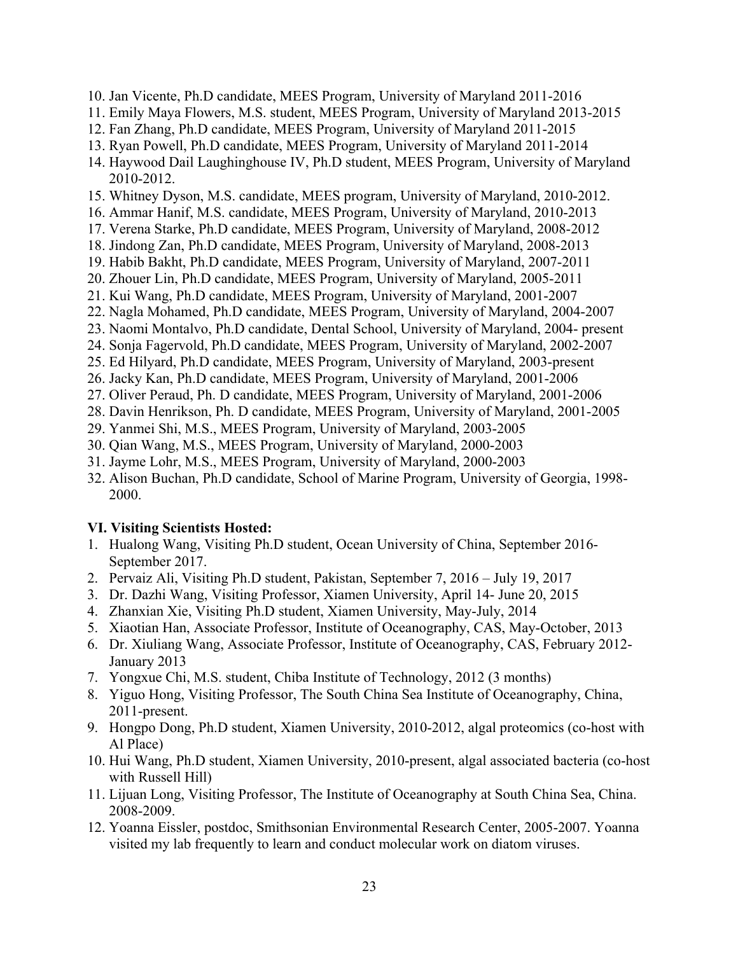- 10. Jan Vicente, Ph.D candidate, MEES Program, University of Maryland 2011-2016
- 11. Emily Maya Flowers, M.S. student, MEES Program, University of Maryland 2013-2015
- 12. Fan Zhang, Ph.D candidate, MEES Program, University of Maryland 2011-2015
- 13. Ryan Powell, Ph.D candidate, MEES Program, University of Maryland 2011-2014
- 14. Haywood Dail Laughinghouse IV, Ph.D student, MEES Program, University of Maryland 2010-2012.
- 15. Whitney Dyson, M.S. candidate, MEES program, University of Maryland, 2010-2012.
- 16. Ammar Hanif, M.S. candidate, MEES Program, University of Maryland, 2010-2013
- 17. Verena Starke, Ph.D candidate, MEES Program, University of Maryland, 2008-2012
- 18. Jindong Zan, Ph.D candidate, MEES Program, University of Maryland, 2008-2013
- 19. Habib Bakht, Ph.D candidate, MEES Program, University of Maryland, 2007-2011
- 20. Zhouer Lin, Ph.D candidate, MEES Program, University of Maryland, 2005-2011
- 21. Kui Wang, Ph.D candidate, MEES Program, University of Maryland, 2001-2007
- 22. Nagla Mohamed, Ph.D candidate, MEES Program, University of Maryland, 2004-2007
- 23. Naomi Montalvo, Ph.D candidate, Dental School, University of Maryland, 2004- present
- 24. Sonja Fagervold, Ph.D candidate, MEES Program, University of Maryland, 2002-2007
- 25. Ed Hilyard, Ph.D candidate, MEES Program, University of Maryland, 2003-present
- 26. Jacky Kan, Ph.D candidate, MEES Program, University of Maryland, 2001-2006
- 27. Oliver Peraud, Ph. D candidate, MEES Program, University of Maryland, 2001-2006
- 28. Davin Henrikson, Ph. D candidate, MEES Program, University of Maryland, 2001-2005
- 29. Yanmei Shi, M.S., MEES Program, University of Maryland, 2003-2005
- 30. Qian Wang, M.S., MEES Program, University of Maryland, 2000-2003
- 31. Jayme Lohr, M.S., MEES Program, University of Maryland, 2000-2003
- 32. Alison Buchan, Ph.D candidate, School of Marine Program, University of Georgia, 1998- 2000.

# **VI. Visiting Scientists Hosted:**

- 1. Hualong Wang, Visiting Ph.D student, Ocean University of China, September 2016- September 2017.
- 2. Pervaiz Ali, Visiting Ph.D student, Pakistan, September 7, 2016 July 19, 2017
- 3. Dr. Dazhi Wang, Visiting Professor, Xiamen University, April 14- June 20, 2015
- 4. Zhanxian Xie, Visiting Ph.D student, Xiamen University, May-July, 2014
- 5. Xiaotian Han, Associate Professor, Institute of Oceanography, CAS, May-October, 2013
- 6. Dr. Xiuliang Wang, Associate Professor, Institute of Oceanography, CAS, February 2012- January 2013
- 7. Yongxue Chi, M.S. student, Chiba Institute of Technology, 2012 (3 months)
- 8. Yiguo Hong, Visiting Professor, The South China Sea Institute of Oceanography, China, 2011-present.
- 9. Hongpo Dong, Ph.D student, Xiamen University, 2010-2012, algal proteomics (co-host with Al Place)
- 10. Hui Wang, Ph.D student, Xiamen University, 2010-present, algal associated bacteria (co-host with Russell Hill)
- 11. Lijuan Long, Visiting Professor, The Institute of Oceanography at South China Sea, China. 2008-2009.
- 12. Yoanna Eissler, postdoc, Smithsonian Environmental Research Center, 2005-2007. Yoanna visited my lab frequently to learn and conduct molecular work on diatom viruses.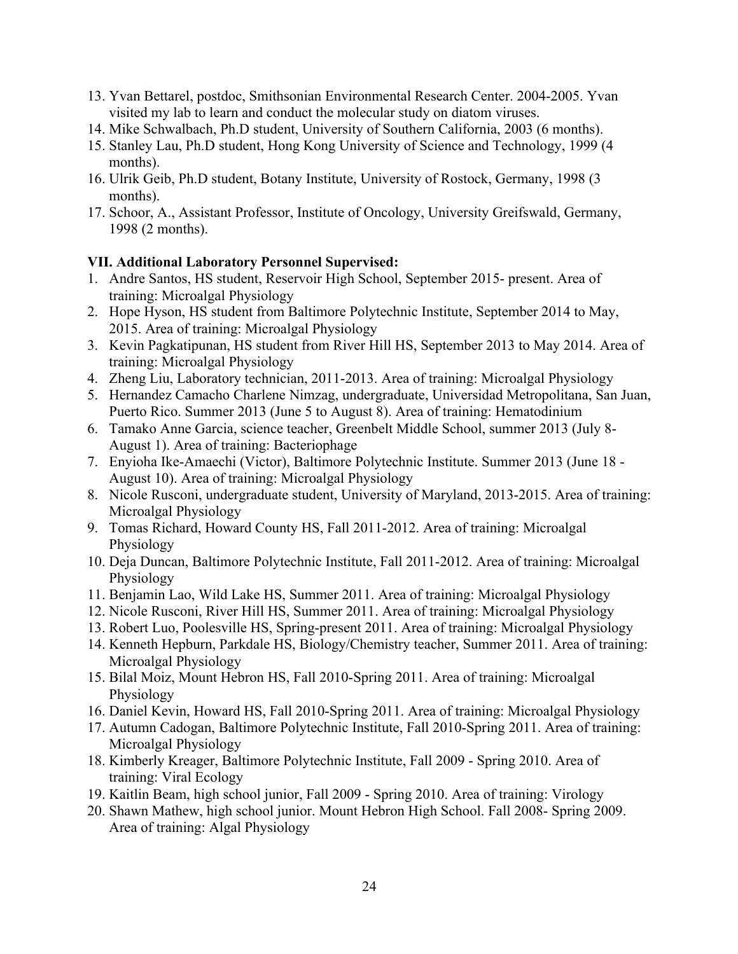- 13. Yvan Bettarel, postdoc, Smithsonian Environmental Research Center. 2004-2005. Yvan visited my lab to learn and conduct the molecular study on diatom viruses.
- 14. Mike Schwalbach, Ph.D student, University of Southern California, 2003 (6 months).
- 15. Stanley Lau, Ph.D student, Hong Kong University of Science and Technology, 1999 (4 months).
- 16. Ulrik Geib, Ph.D student, Botany Institute, University of Rostock, Germany, 1998 (3 months).
- 17. Schoor, A., Assistant Professor, Institute of Oncology, University Greifswald, Germany, 1998 (2 months).

#### **VII. Additional Laboratory Personnel Supervised:**

- 1. Andre Santos, HS student, Reservoir High School, September 2015- present. Area of training: Microalgal Physiology
- 2. Hope Hyson, HS student from Baltimore Polytechnic Institute, September 2014 to May, 2015. Area of training: Microalgal Physiology
- 3. Kevin Pagkatipunan, HS student from River Hill HS, September 2013 to May 2014. Area of training: Microalgal Physiology
- 4. Zheng Liu, Laboratory technician, 2011-2013. Area of training: Microalgal Physiology
- 5. Hernandez Camacho Charlene Nimzag, undergraduate, Universidad Metropolitana, San Juan, Puerto Rico. Summer 2013 (June 5 to August 8). Area of training: Hematodinium
- 6. Tamako Anne Garcia, science teacher, Greenbelt Middle School, summer 2013 (July 8- August 1). Area of training: Bacteriophage
- 7. Enyioha Ike-Amaechi (Victor), Baltimore Polytechnic Institute. Summer 2013 (June 18 August 10). Area of training: Microalgal Physiology
- 8. Nicole Rusconi, undergraduate student, University of Maryland, 2013-2015. Area of training: Microalgal Physiology
- 9. Tomas Richard, Howard County HS, Fall 2011-2012. Area of training: Microalgal Physiology
- 10. Deja Duncan, Baltimore Polytechnic Institute, Fall 2011-2012. Area of training: Microalgal Physiology
- 11. Benjamin Lao, Wild Lake HS, Summer 2011. Area of training: Microalgal Physiology
- 12. Nicole Rusconi, River Hill HS, Summer 2011. Area of training: Microalgal Physiology
- 13. Robert Luo, Poolesville HS, Spring-present 2011. Area of training: Microalgal Physiology
- 14. Kenneth Hepburn, Parkdale HS, Biology/Chemistry teacher, Summer 2011. Area of training: Microalgal Physiology
- 15. Bilal Moiz, Mount Hebron HS, Fall 2010-Spring 2011. Area of training: Microalgal Physiology
- 16. Daniel Kevin, Howard HS, Fall 2010-Spring 2011. Area of training: Microalgal Physiology
- 17. Autumn Cadogan, Baltimore Polytechnic Institute, Fall 2010-Spring 2011. Area of training: Microalgal Physiology
- 18. Kimberly Kreager, Baltimore Polytechnic Institute, Fall 2009 Spring 2010. Area of training: Viral Ecology
- 19. Kaitlin Beam, high school junior, Fall 2009 Spring 2010. Area of training: Virology
- 20. Shawn Mathew, high school junior. Mount Hebron High School. Fall 2008- Spring 2009. Area of training: Algal Physiology